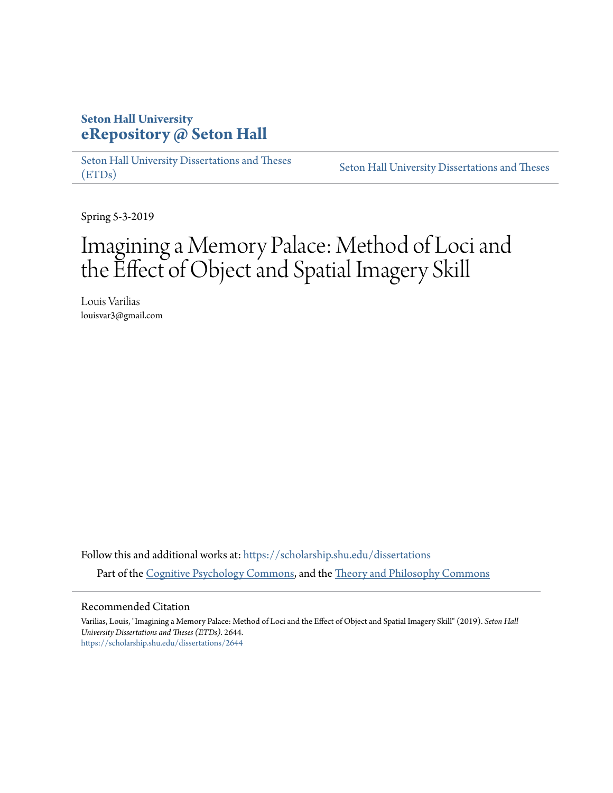# **Seton Hall University [eRepository @ Seton Hall](https://scholarship.shu.edu?utm_source=scholarship.shu.edu%2Fdissertations%2F2644&utm_medium=PDF&utm_campaign=PDFCoverPages)**

[Seton Hall University Dissertations and Theses](https://scholarship.shu.edu/dissertations?utm_source=scholarship.shu.edu%2Fdissertations%2F2644&utm_medium=PDF&utm_campaign=PDFCoverPages) [\(ETDs\)](https://scholarship.shu.edu/dissertations?utm_source=scholarship.shu.edu%2Fdissertations%2F2644&utm_medium=PDF&utm_campaign=PDFCoverPages)

[Seton Hall University Dissertations and Theses](https://scholarship.shu.edu/etds?utm_source=scholarship.shu.edu%2Fdissertations%2F2644&utm_medium=PDF&utm_campaign=PDFCoverPages)

Spring 5-3-2019

# Imagining a Memory Palace: Method of Loci and the Effect of Object and Spatial Imagery Skill

Louis Varilias louisvar3@gmail.com

Follow this and additional works at: [https://scholarship.shu.edu/dissertations](https://scholarship.shu.edu/dissertations?utm_source=scholarship.shu.edu%2Fdissertations%2F2644&utm_medium=PDF&utm_campaign=PDFCoverPages) Part of the [Cognitive Psychology Commons,](http://network.bepress.com/hgg/discipline/408?utm_source=scholarship.shu.edu%2Fdissertations%2F2644&utm_medium=PDF&utm_campaign=PDFCoverPages) and the [Theory and Philosophy Commons](http://network.bepress.com/hgg/discipline/1238?utm_source=scholarship.shu.edu%2Fdissertations%2F2644&utm_medium=PDF&utm_campaign=PDFCoverPages)

#### Recommended Citation

Varilias, Louis, "Imagining a Memory Palace: Method of Loci and the Effect of Object and Spatial Imagery Skill" (2019). *Seton Hall University Dissertations and Theses (ETDs)*. 2644. [https://scholarship.shu.edu/dissertations/2644](https://scholarship.shu.edu/dissertations/2644?utm_source=scholarship.shu.edu%2Fdissertations%2F2644&utm_medium=PDF&utm_campaign=PDFCoverPages)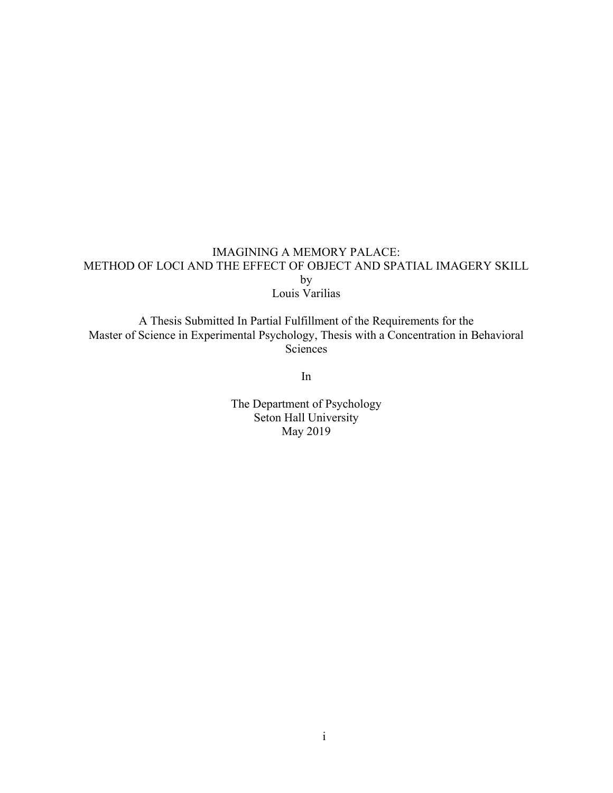## IMAGINING A MEMORY PALACE: METHOD OF LOCI AND THE EFFECT OF OBJECT AND SPATIAL IMAGERY SKILL by Louis Varilias

A Thesis Submitted In Partial Fulfillment of the Requirements for the Master of Science in Experimental Psychology, Thesis with a Concentration in Behavioral **Sciences** 

In

The Department of Psychology Seton Hall University May 2019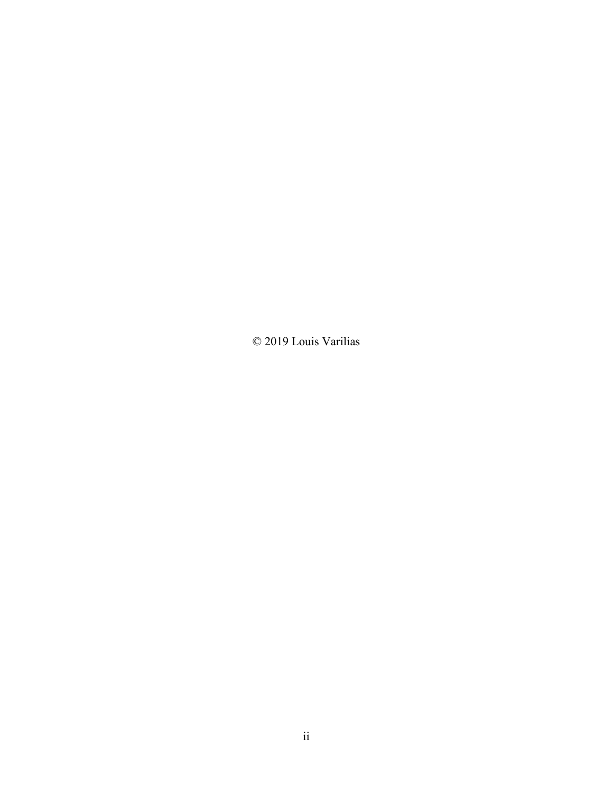© 2019 Louis Varilias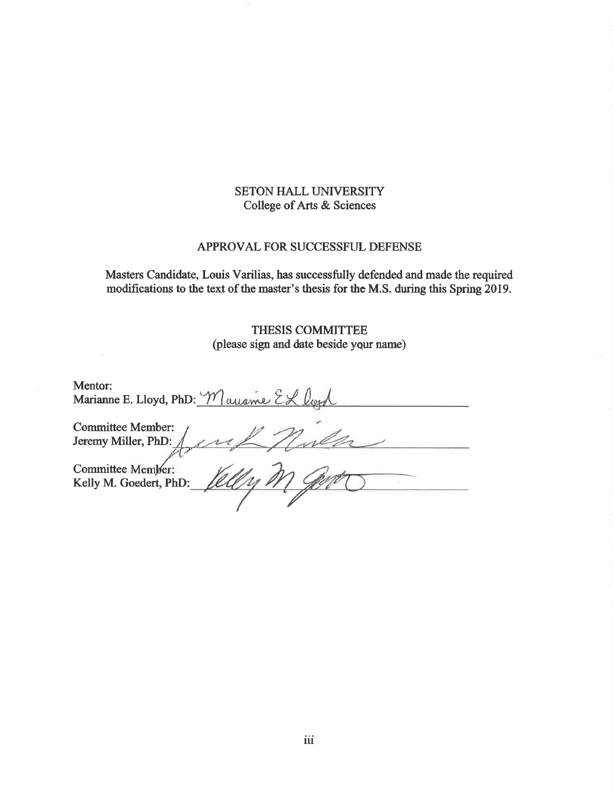## **SETON HALL UNIVERSITY** College of Arts & Sciences

#### APPROVAL FOR SUCCESSFUL DEFENSE

Masters Candidate, Louis Varilias, has successfully defended and made the required modifications to the text of the master's thesis for the M.S. during this Spring 2019.

> THESIS COMMITTEE (please sign and date beside your name)

Mentor: Marianne E. Lloyd, PhD: Mauame EL loss **Committee Member:** Jeremy Miller, PhD: Committee Member: Kelly M. Goedert, PhD: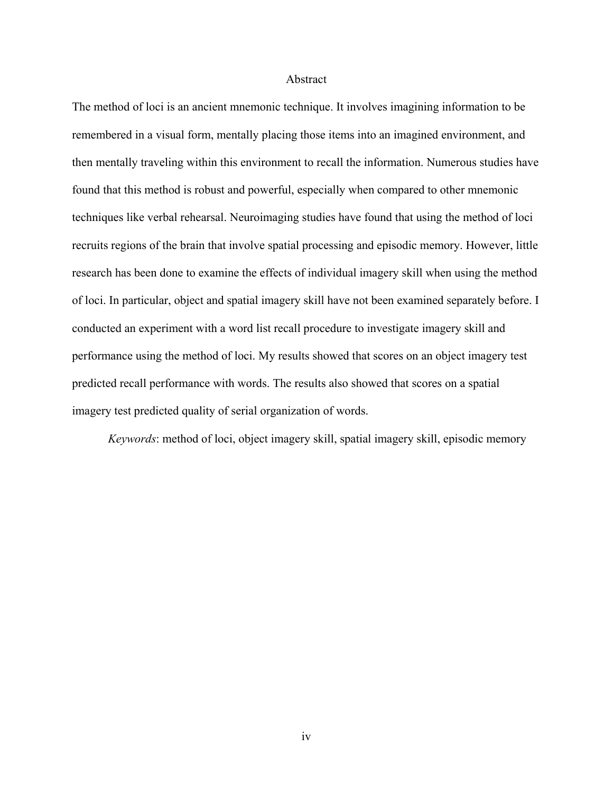#### Abstract

The method of loci is an ancient mnemonic technique. It involves imagining information to be remembered in a visual form, mentally placing those items into an imagined environment, and then mentally traveling within this environment to recall the information. Numerous studies have found that this method is robust and powerful, especially when compared to other mnemonic techniques like verbal rehearsal. Neuroimaging studies have found that using the method of loci recruits regions of the brain that involve spatial processing and episodic memory. However, little research has been done to examine the effects of individual imagery skill when using the method of loci. In particular, object and spatial imagery skill have not been examined separately before. I conducted an experiment with a word list recall procedure to investigate imagery skill and performance using the method of loci. My results showed that scores on an object imagery test predicted recall performance with words. The results also showed that scores on a spatial imagery test predicted quality of serial organization of words.

*Keywords*: method of loci, object imagery skill, spatial imagery skill, episodic memory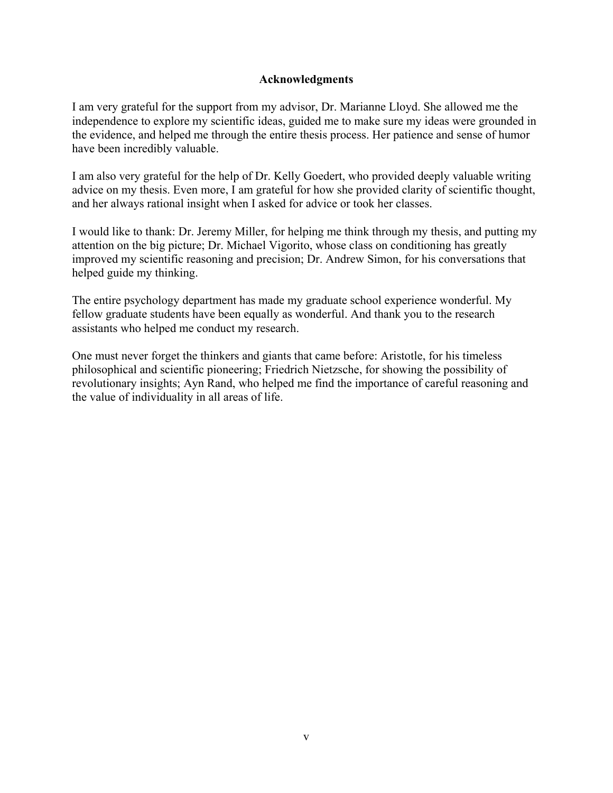#### **Acknowledgments**

I am very grateful for the support from my advisor, Dr. Marianne Lloyd. She allowed me the independence to explore my scientific ideas, guided me to make sure my ideas were grounded in the evidence, and helped me through the entire thesis process. Her patience and sense of humor have been incredibly valuable.

I am also very grateful for the help of Dr. Kelly Goedert, who provided deeply valuable writing advice on my thesis. Even more, I am grateful for how she provided clarity of scientific thought, and her always rational insight when I asked for advice or took her classes.

I would like to thank: Dr. Jeremy Miller, for helping me think through my thesis, and putting my attention on the big picture; Dr. Michael Vigorito, whose class on conditioning has greatly improved my scientific reasoning and precision; Dr. Andrew Simon, for his conversations that helped guide my thinking.

The entire psychology department has made my graduate school experience wonderful. My fellow graduate students have been equally as wonderful. And thank you to the research assistants who helped me conduct my research.

One must never forget the thinkers and giants that came before: Aristotle, for his timeless philosophical and scientific pioneering; Friedrich Nietzsche, for showing the possibility of revolutionary insights; Ayn Rand, who helped me find the importance of careful reasoning and the value of individuality in all areas of life.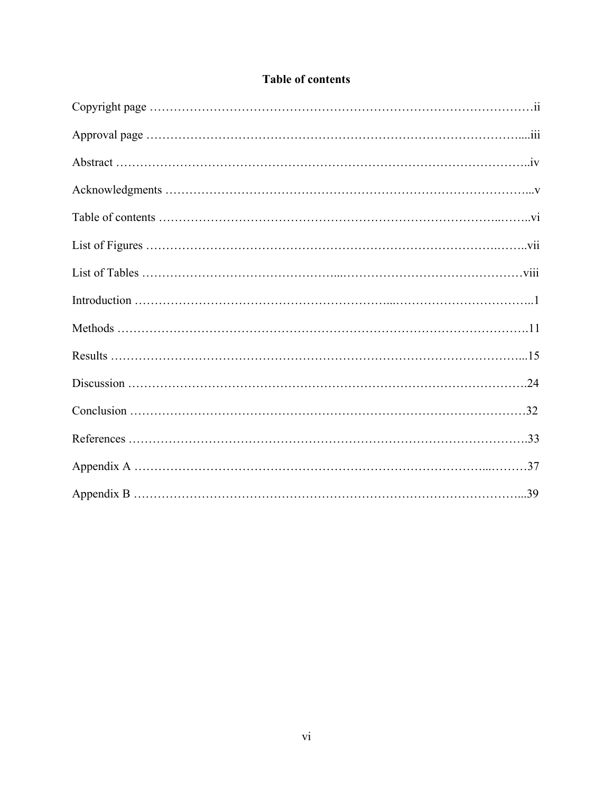# **Table of contents**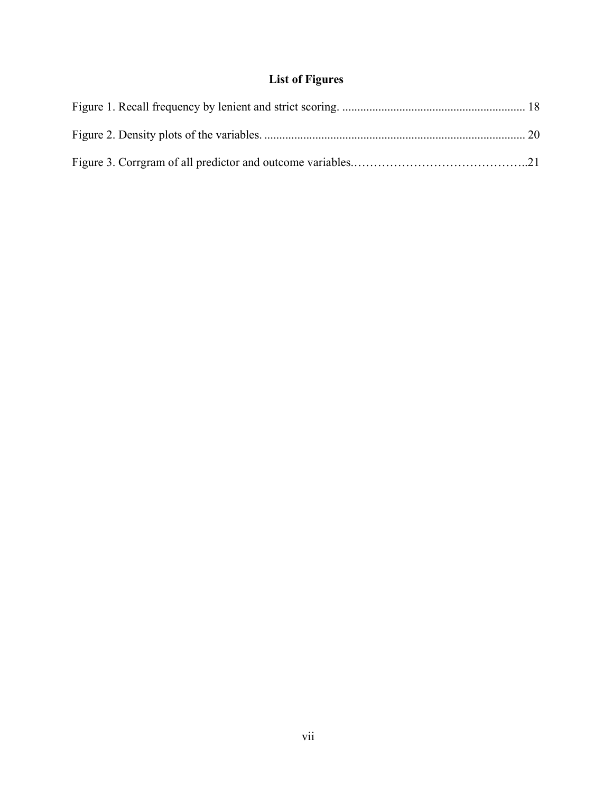# **List of Figures**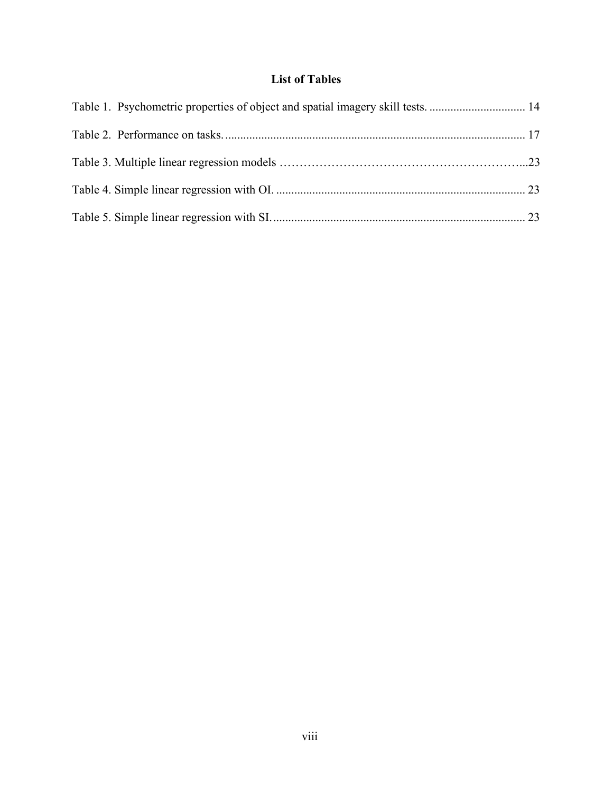# **List of Tables**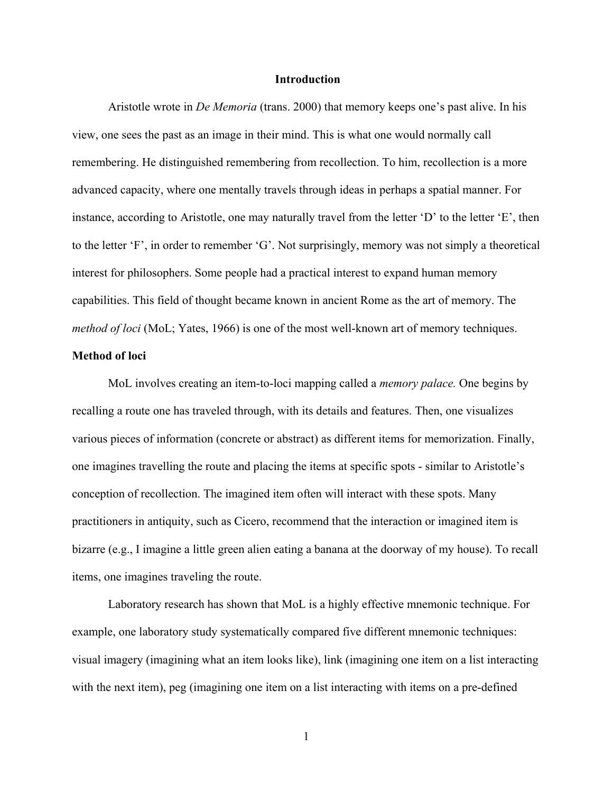#### **Introduction**

Aristotle wrote in *De Memoria* (trans. 2000) that memory keeps one's past alive. In his view, one sees the past as an image in their mind. This is what one would normally call remembering. He distinguished remembering from recollection. To him, recollection is a more advanced capacity, where one mentally travels through ideas in perhaps a spatial manner. For instance, according to Aristotle, one may naturally travel from the letter 'D' to the letter 'E', then to the letter 'F', in order to remember 'G'. Not surprisingly, memory was not simply a theoretical interest for philosophers. Some people had a practical interest to expand human memory capabilities. This field of thought became known in ancient Rome as the art of memory. The *method of loci* (MoL; Yates, 1966) is one of the most well-known art of memory techniques.

#### **Method of loci**

MoL involves creating an item-to-loci mapping called a *memory palace.* One begins by recalling a route one has traveled through, with its details and features. Then, one visualizes various pieces of information (concrete or abstract) as different items for memorization. Finally, one imagines travelling the route and placing the items at specific spots - similar to Aristotle's conception of recollection. The imagined item often will interact with these spots. Many practitioners in antiquity, such as Cicero, recommend that the interaction or imagined item is bizarre (e.g., I imagine a little green alien eating a banana at the doorway of my house). To recall items, one imagines traveling the route.

Laboratory research has shown that MoL is a highly effective mnemonic technique. For example, one laboratory study systematically compared five different mnemonic techniques: visual imagery (imagining what an item looks like), link (imagining one item on a list interacting with the next item), peg (imagining one item on a list interacting with items on a pre-defined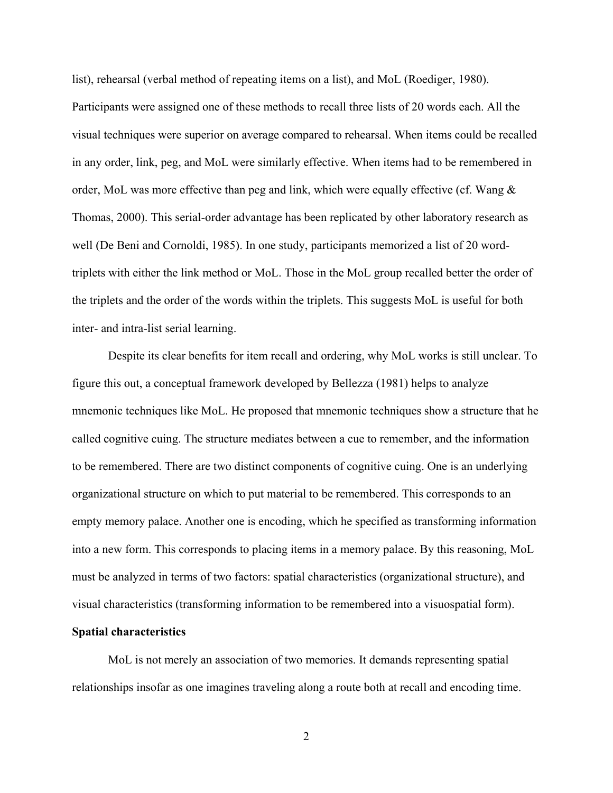list), rehearsal (verbal method of repeating items on a list), and MoL (Roediger, 1980).

Participants were assigned one of these methods to recall three lists of 20 words each. All the visual techniques were superior on average compared to rehearsal. When items could be recalled in any order, link, peg, and MoL were similarly effective. When items had to be remembered in order, MoL was more effective than peg and link, which were equally effective (cf. Wang  $\&$ Thomas, 2000). This serial-order advantage has been replicated by other laboratory research as well (De Beni and Cornoldi, 1985). In one study, participants memorized a list of 20 wordtriplets with either the link method or MoL. Those in the MoL group recalled better the order of the triplets and the order of the words within the triplets. This suggests MoL is useful for both inter- and intra-list serial learning.

Despite its clear benefits for item recall and ordering, why MoL works is still unclear. To figure this out, a conceptual framework developed by Bellezza (1981) helps to analyze mnemonic techniques like MoL. He proposed that mnemonic techniques show a structure that he called cognitive cuing. The structure mediates between a cue to remember, and the information to be remembered. There are two distinct components of cognitive cuing. One is an underlying organizational structure on which to put material to be remembered. This corresponds to an empty memory palace. Another one is encoding, which he specified as transforming information into a new form. This corresponds to placing items in a memory palace. By this reasoning, MoL must be analyzed in terms of two factors: spatial characteristics (organizational structure), and visual characteristics (transforming information to be remembered into a visuospatial form).

#### **Spatial characteristics**

MoL is not merely an association of two memories. It demands representing spatial relationships insofar as one imagines traveling along a route both at recall and encoding time.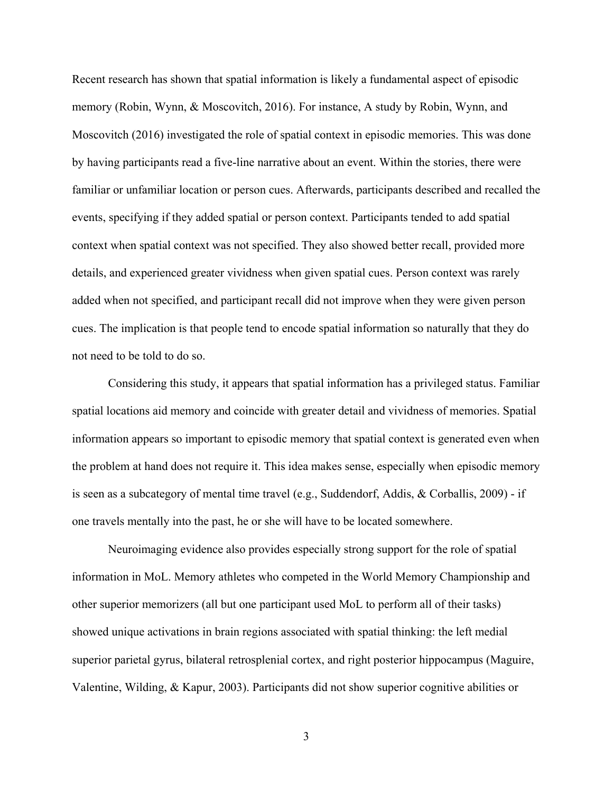Recent research has shown that spatial information is likely a fundamental aspect of episodic memory (Robin, Wynn, & Moscovitch, 2016). For instance, A study by Robin, Wynn, and Moscovitch (2016) investigated the role of spatial context in episodic memories. This was done by having participants read a five-line narrative about an event. Within the stories, there were familiar or unfamiliar location or person cues. Afterwards, participants described and recalled the events, specifying if they added spatial or person context. Participants tended to add spatial context when spatial context was not specified. They also showed better recall, provided more details, and experienced greater vividness when given spatial cues. Person context was rarely added when not specified, and participant recall did not improve when they were given person cues. The implication is that people tend to encode spatial information so naturally that they do not need to be told to do so.

Considering this study, it appears that spatial information has a privileged status. Familiar spatial locations aid memory and coincide with greater detail and vividness of memories. Spatial information appears so important to episodic memory that spatial context is generated even when the problem at hand does not require it. This idea makes sense, especially when episodic memory is seen as a subcategory of mental time travel (e.g., Suddendorf, Addis, & Corballis, 2009) - if one travels mentally into the past, he or she will have to be located somewhere.

Neuroimaging evidence also provides especially strong support for the role of spatial information in MoL. Memory athletes who competed in the World Memory Championship and other superior memorizers (all but one participant used MoL to perform all of their tasks) showed unique activations in brain regions associated with spatial thinking: the left medial superior parietal gyrus, bilateral retrosplenial cortex, and right posterior hippocampus (Maguire, Valentine, Wilding, & Kapur, 2003). Participants did not show superior cognitive abilities or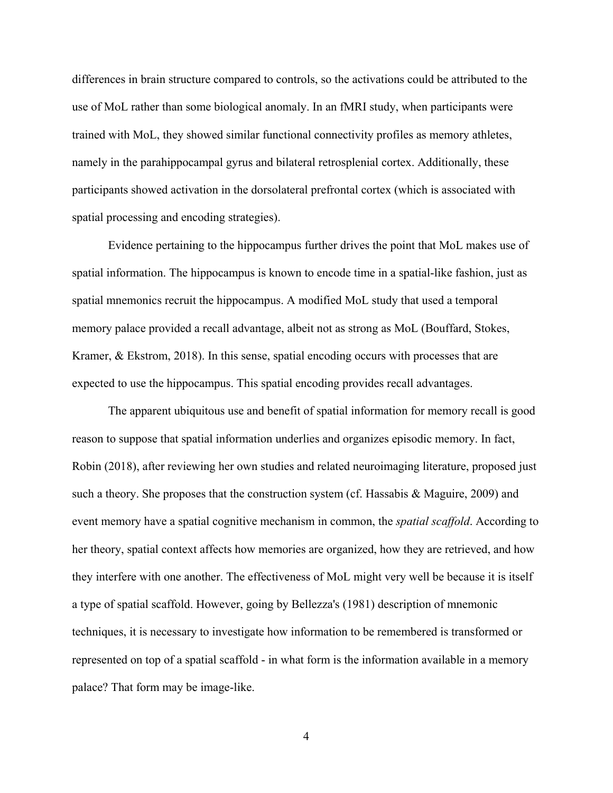differences in brain structure compared to controls, so the activations could be attributed to the use of MoL rather than some biological anomaly. In an fMRI study, when participants were trained with MoL, they showed similar functional connectivity profiles as memory athletes, namely in the parahippocampal gyrus and bilateral retrosplenial cortex. Additionally, these participants showed activation in the dorsolateral prefrontal cortex (which is associated with spatial processing and encoding strategies).

Evidence pertaining to the hippocampus further drives the point that MoL makes use of spatial information. The hippocampus is known to encode time in a spatial-like fashion, just as spatial mnemonics recruit the hippocampus. A modified MoL study that used a temporal memory palace provided a recall advantage, albeit not as strong as MoL (Bouffard, Stokes, Kramer, & Ekstrom, 2018). In this sense, spatial encoding occurs with processes that are expected to use the hippocampus. This spatial encoding provides recall advantages.

The apparent ubiquitous use and benefit of spatial information for memory recall is good reason to suppose that spatial information underlies and organizes episodic memory. In fact, Robin (2018), after reviewing her own studies and related neuroimaging literature, proposed just such a theory. She proposes that the construction system (cf. Hassabis & Maguire, 2009) and event memory have a spatial cognitive mechanism in common, the *spatial scaffold*. According to her theory, spatial context affects how memories are organized, how they are retrieved, and how they interfere with one another. The effectiveness of MoL might very well be because it is itself a type of spatial scaffold. However, going by Bellezza's (1981) description of mnemonic techniques, it is necessary to investigate how information to be remembered is transformed or represented on top of a spatial scaffold - in what form is the information available in a memory palace? That form may be image-like.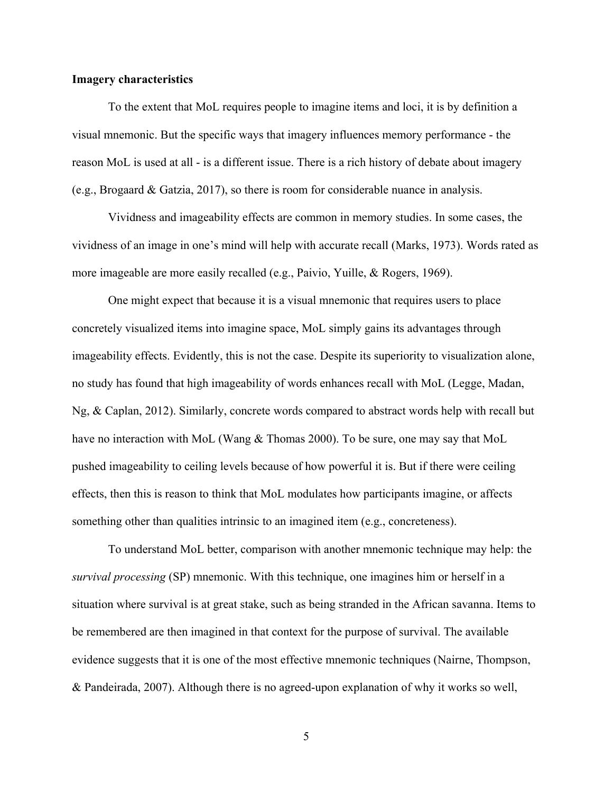#### **Imagery characteristics**

To the extent that MoL requires people to imagine items and loci, it is by definition a visual mnemonic. But the specific ways that imagery influences memory performance - the reason MoL is used at all - is a different issue. There is a rich history of debate about imagery (e.g., Brogaard & Gatzia, 2017), so there is room for considerable nuance in analysis.

Vividness and imageability effects are common in memory studies. In some cases, the vividness of an image in one's mind will help with accurate recall (Marks, 1973). Words rated as more imageable are more easily recalled (e.g., Paivio, Yuille, & Rogers, 1969).

One might expect that because it is a visual mnemonic that requires users to place concretely visualized items into imagine space, MoL simply gains its advantages through imageability effects. Evidently, this is not the case. Despite its superiority to visualization alone, no study has found that high imageability of words enhances recall with MoL (Legge, Madan, Ng, & Caplan, 2012). Similarly, concrete words compared to abstract words help with recall but have no interaction with MoL (Wang & Thomas 2000). To be sure, one may say that MoL pushed imageability to ceiling levels because of how powerful it is. But if there were ceiling effects, then this is reason to think that MoL modulates how participants imagine, or affects something other than qualities intrinsic to an imagined item (e.g., concreteness).

To understand MoL better, comparison with another mnemonic technique may help: the *survival processing* (SP) mnemonic. With this technique, one imagines him or herself in a situation where survival is at great stake, such as being stranded in the African savanna. Items to be remembered are then imagined in that context for the purpose of survival. The available evidence suggests that it is one of the most effective mnemonic techniques (Nairne, Thompson, & Pandeirada, 2007). Although there is no agreed-upon explanation of why it works so well,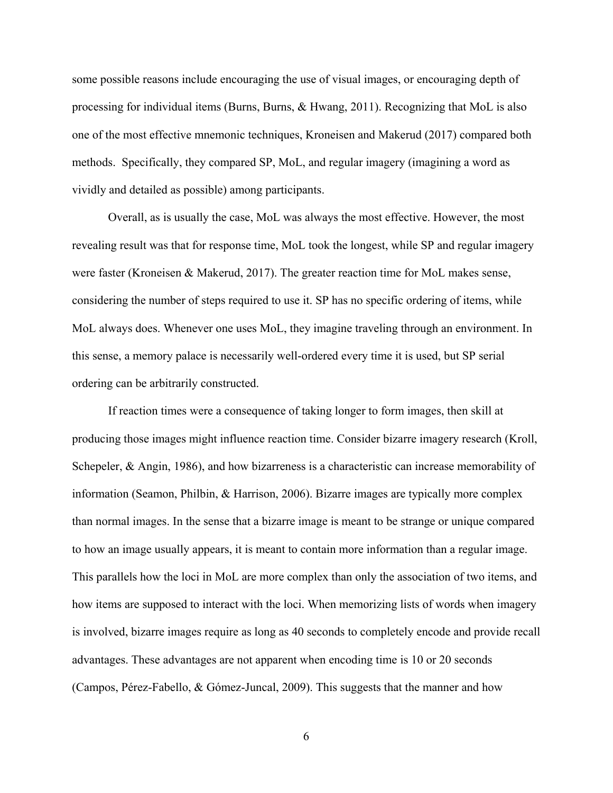some possible reasons include encouraging the use of visual images, or encouraging depth of processing for individual items (Burns, Burns, & Hwang, 2011). Recognizing that MoL is also one of the most effective mnemonic techniques, Kroneisen and Makerud (2017) compared both methods. Specifically, they compared SP, MoL, and regular imagery (imagining a word as vividly and detailed as possible) among participants.

Overall, as is usually the case, MoL was always the most effective. However, the most revealing result was that for response time, MoL took the longest, while SP and regular imagery were faster (Kroneisen & Makerud, 2017). The greater reaction time for MoL makes sense, considering the number of steps required to use it. SP has no specific ordering of items, while MoL always does. Whenever one uses MoL, they imagine traveling through an environment. In this sense, a memory palace is necessarily well-ordered every time it is used, but SP serial ordering can be arbitrarily constructed.

If reaction times were a consequence of taking longer to form images, then skill at producing those images might influence reaction time. Consider bizarre imagery research (Kroll, Schepeler, & Angin, 1986), and how bizarreness is a characteristic can increase memorability of information (Seamon, Philbin, & Harrison, 2006). Bizarre images are typically more complex than normal images. In the sense that a bizarre image is meant to be strange or unique compared to how an image usually appears, it is meant to contain more information than a regular image. This parallels how the loci in MoL are more complex than only the association of two items, and how items are supposed to interact with the loci. When memorizing lists of words when imagery is involved, bizarre images require as long as 40 seconds to completely encode and provide recall advantages. These advantages are not apparent when encoding time is 10 or 20 seconds (Campos, Pérez-Fabello, & Gómez-Juncal, 2009). This suggests that the manner and how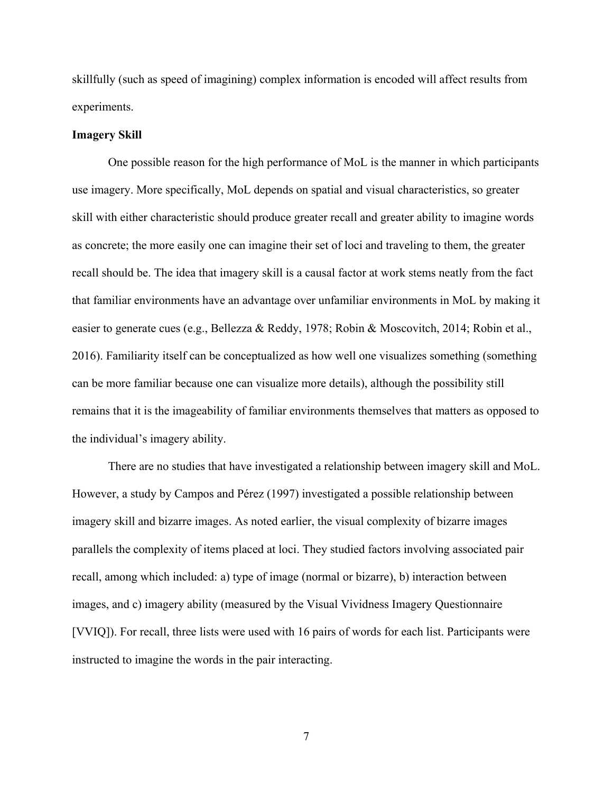skillfully (such as speed of imagining) complex information is encoded will affect results from experiments.

#### **Imagery Skill**

One possible reason for the high performance of MoL is the manner in which participants use imagery. More specifically, MoL depends on spatial and visual characteristics, so greater skill with either characteristic should produce greater recall and greater ability to imagine words as concrete; the more easily one can imagine their set of loci and traveling to them, the greater recall should be. The idea that imagery skill is a causal factor at work stems neatly from the fact that familiar environments have an advantage over unfamiliar environments in MoL by making it easier to generate cues (e.g., Bellezza & Reddy, 1978; Robin & Moscovitch, 2014; Robin et al., 2016). Familiarity itself can be conceptualized as how well one visualizes something (something can be more familiar because one can visualize more details), although the possibility still remains that it is the imageability of familiar environments themselves that matters as opposed to the individual's imagery ability.

There are no studies that have investigated a relationship between imagery skill and MoL. However, a study by Campos and Pérez (1997) investigated a possible relationship between imagery skill and bizarre images. As noted earlier, the visual complexity of bizarre images parallels the complexity of items placed at loci. They studied factors involving associated pair recall, among which included: a) type of image (normal or bizarre), b) interaction between images, and c) imagery ability (measured by the Visual Vividness Imagery Questionnaire [VVIQ]). For recall, three lists were used with 16 pairs of words for each list. Participants were instructed to imagine the words in the pair interacting.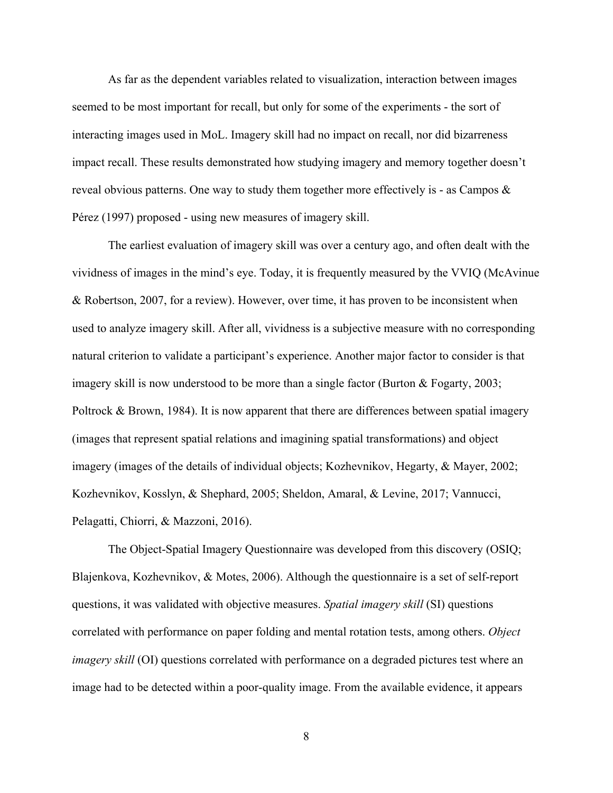As far as the dependent variables related to visualization, interaction between images seemed to be most important for recall, but only for some of the experiments - the sort of interacting images used in MoL. Imagery skill had no impact on recall, nor did bizarreness impact recall. These results demonstrated how studying imagery and memory together doesn't reveal obvious patterns. One way to study them together more effectively is - as Campos  $\&$ Pérez (1997) proposed - using new measures of imagery skill.

The earliest evaluation of imagery skill was over a century ago, and often dealt with the vividness of images in the mind's eye. Today, it is frequently measured by the VVIQ (McAvinue & Robertson, 2007, for a review). However, over time, it has proven to be inconsistent when used to analyze imagery skill. After all, vividness is a subjective measure with no corresponding natural criterion to validate a participant's experience. Another major factor to consider is that imagery skill is now understood to be more than a single factor (Burton & Fogarty, 2003; Poltrock  $\&$  Brown, 1984). It is now apparent that there are differences between spatial imagery (images that represent spatial relations and imagining spatial transformations) and object imagery (images of the details of individual objects; Kozhevnikov, Hegarty, & Mayer, 2002; Kozhevnikov, Kosslyn, & Shephard, 2005; Sheldon, Amaral, & Levine, 2017; Vannucci, Pelagatti, Chiorri, & Mazzoni, 2016).

The Object-Spatial Imagery Questionnaire was developed from this discovery (OSIQ; Blajenkova, Kozhevnikov, & Motes, 2006). Although the questionnaire is a set of self-report questions, it was validated with objective measures. *Spatial imagery skill* (SI) questions correlated with performance on paper folding and mental rotation tests, among others. *Object imagery skill* (OI) questions correlated with performance on a degraded pictures test where an image had to be detected within a poor-quality image. From the available evidence, it appears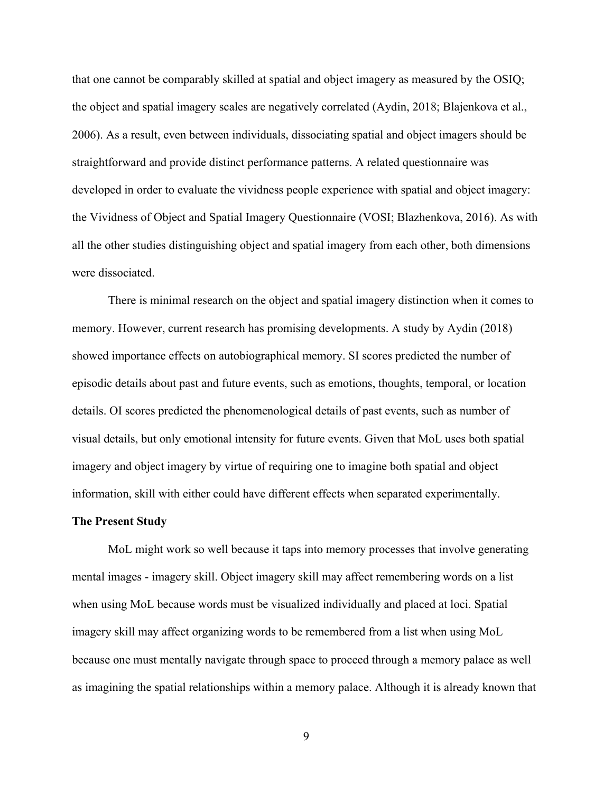that one cannot be comparably skilled at spatial and object imagery as measured by the OSIQ; the object and spatial imagery scales are negatively correlated (Aydin, 2018; Blajenkova et al., 2006). As a result, even between individuals, dissociating spatial and object imagers should be straightforward and provide distinct performance patterns. A related questionnaire was developed in order to evaluate the vividness people experience with spatial and object imagery: the Vividness of Object and Spatial Imagery Questionnaire (VOSI; Blazhenkova, 2016). As with all the other studies distinguishing object and spatial imagery from each other, both dimensions were dissociated.

There is minimal research on the object and spatial imagery distinction when it comes to memory. However, current research has promising developments. A study by Aydin (2018) showed importance effects on autobiographical memory. SI scores predicted the number of episodic details about past and future events, such as emotions, thoughts, temporal, or location details. OI scores predicted the phenomenological details of past events, such as number of visual details, but only emotional intensity for future events. Given that MoL uses both spatial imagery and object imagery by virtue of requiring one to imagine both spatial and object information, skill with either could have different effects when separated experimentally.

#### **The Present Study**

MoL might work so well because it taps into memory processes that involve generating mental images - imagery skill. Object imagery skill may affect remembering words on a list when using MoL because words must be visualized individually and placed at loci. Spatial imagery skill may affect organizing words to be remembered from a list when using MoL because one must mentally navigate through space to proceed through a memory palace as well as imagining the spatial relationships within a memory palace. Although it is already known that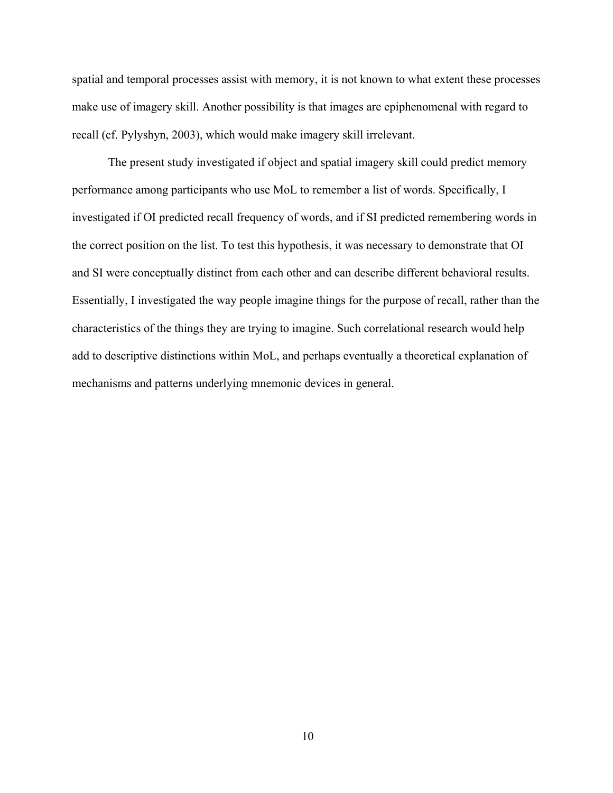spatial and temporal processes assist with memory, it is not known to what extent these processes make use of imagery skill. Another possibility is that images are epiphenomenal with regard to recall (cf. Pylyshyn, 2003), which would make imagery skill irrelevant.

The present study investigated if object and spatial imagery skill could predict memory performance among participants who use MoL to remember a list of words. Specifically, I investigated if OI predicted recall frequency of words, and if SI predicted remembering words in the correct position on the list. To test this hypothesis, it was necessary to demonstrate that OI and SI were conceptually distinct from each other and can describe different behavioral results. Essentially, I investigated the way people imagine things for the purpose of recall, rather than the characteristics of the things they are trying to imagine. Such correlational research would help add to descriptive distinctions within MoL, and perhaps eventually a theoretical explanation of mechanisms and patterns underlying mnemonic devices in general.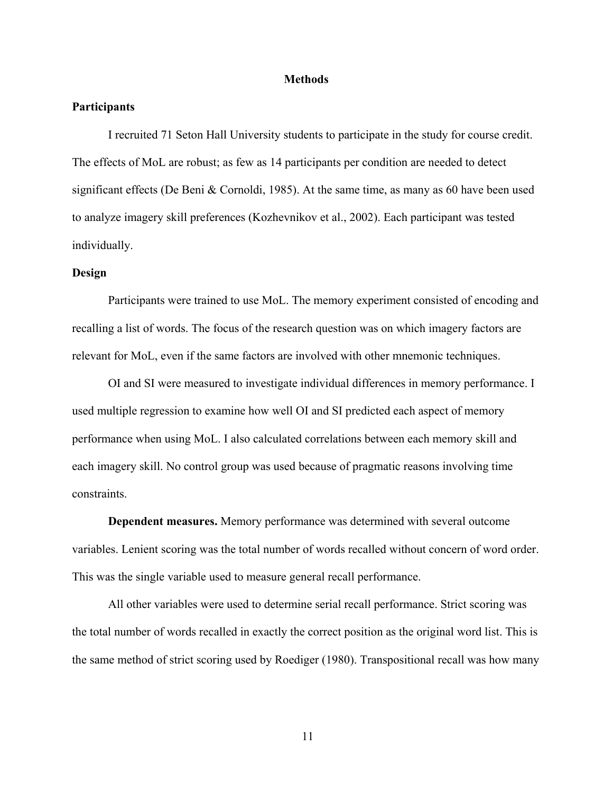#### **Methods**

#### **Participants**

I recruited 71 Seton Hall University students to participate in the study for course credit. The effects of MoL are robust; as few as 14 participants per condition are needed to detect significant effects (De Beni & Cornoldi, 1985). At the same time, as many as 60 have been used to analyze imagery skill preferences (Kozhevnikov et al., 2002). Each participant was tested individually.

#### **Design**

Participants were trained to use MoL. The memory experiment consisted of encoding and recalling a list of words. The focus of the research question was on which imagery factors are relevant for MoL, even if the same factors are involved with other mnemonic techniques.

OI and SI were measured to investigate individual differences in memory performance. I used multiple regression to examine how well OI and SI predicted each aspect of memory performance when using MoL. I also calculated correlations between each memory skill and each imagery skill. No control group was used because of pragmatic reasons involving time constraints.

**Dependent measures.** Memory performance was determined with several outcome variables. Lenient scoring was the total number of words recalled without concern of word order. This was the single variable used to measure general recall performance.

All other variables were used to determine serial recall performance. Strict scoring was the total number of words recalled in exactly the correct position as the original word list. This is the same method of strict scoring used by Roediger (1980). Transpositional recall was how many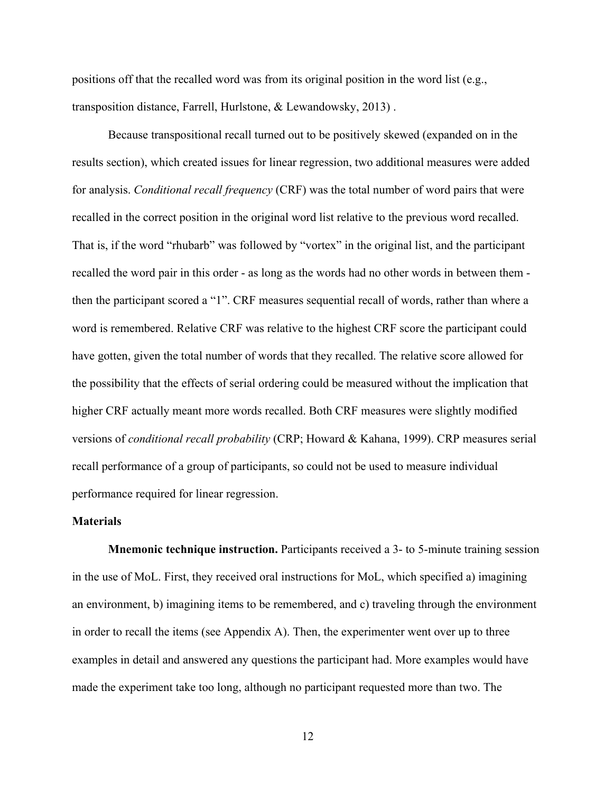positions off that the recalled word was from its original position in the word list (e.g., transposition distance, Farrell, Hurlstone, & Lewandowsky, 2013) .

Because transpositional recall turned out to be positively skewed (expanded on in the results section), which created issues for linear regression, two additional measures were added for analysis. *Conditional recall frequency* (CRF) was the total number of word pairs that were recalled in the correct position in the original word list relative to the previous word recalled. That is, if the word "rhubarb" was followed by "vortex" in the original list, and the participant recalled the word pair in this order - as long as the words had no other words in between them then the participant scored a "1". CRF measures sequential recall of words, rather than where a word is remembered. Relative CRF was relative to the highest CRF score the participant could have gotten, given the total number of words that they recalled. The relative score allowed for the possibility that the effects of serial ordering could be measured without the implication that higher CRF actually meant more words recalled. Both CRF measures were slightly modified versions of *conditional recall probability* (CRP; Howard & Kahana, 1999). CRP measures serial recall performance of a group of participants, so could not be used to measure individual performance required for linear regression.

#### **Materials**

**Mnemonic technique instruction.** Participants received a 3- to 5-minute training session in the use of MoL. First, they received oral instructions for MoL, which specified a) imagining an environment, b) imagining items to be remembered, and c) traveling through the environment in order to recall the items (see Appendix A). Then, the experimenter went over up to three examples in detail and answered any questions the participant had. More examples would have made the experiment take too long, although no participant requested more than two. The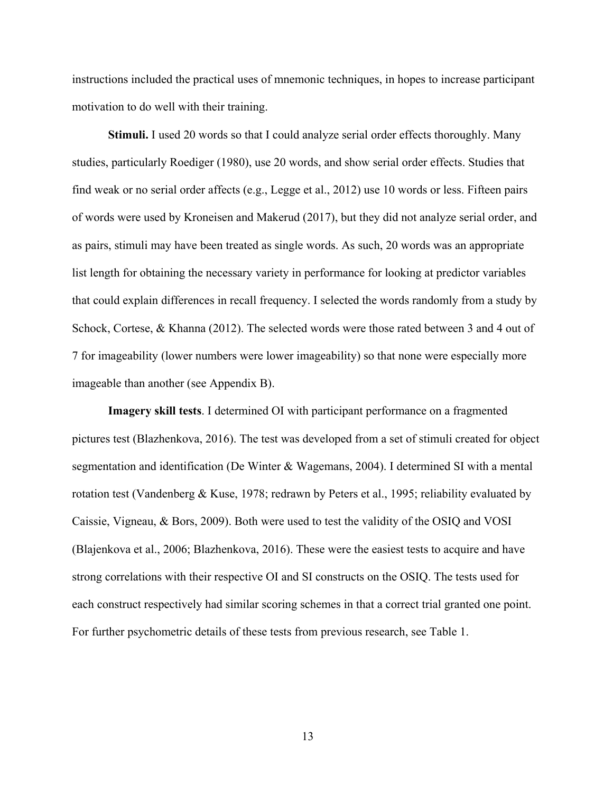instructions included the practical uses of mnemonic techniques, in hopes to increase participant motivation to do well with their training.

**Stimuli.** I used 20 words so that I could analyze serial order effects thoroughly. Many studies, particularly Roediger (1980), use 20 words, and show serial order effects. Studies that find weak or no serial order affects (e.g., Legge et al., 2012) use 10 words or less. Fifteen pairs of words were used by Kroneisen and Makerud (2017), but they did not analyze serial order, and as pairs, stimuli may have been treated as single words. As such, 20 words was an appropriate list length for obtaining the necessary variety in performance for looking at predictor variables that could explain differences in recall frequency. I selected the words randomly from a study by Schock, Cortese, & Khanna (2012). The selected words were those rated between 3 and 4 out of 7 for imageability (lower numbers were lower imageability) so that none were especially more imageable than another (see Appendix B).

**Imagery skill tests**. I determined OI with participant performance on a fragmented pictures test (Blazhenkova, 2016). The test was developed from a set of stimuli created for object segmentation and identification (De Winter & Wagemans, 2004). I determined SI with a mental rotation test (Vandenberg & Kuse, 1978; redrawn by Peters et al., 1995; reliability evaluated by Caissie, Vigneau, & Bors, 2009). Both were used to test the validity of the OSIQ and VOSI (Blajenkova et al., 2006; Blazhenkova, 2016). These were the easiest tests to acquire and have strong correlations with their respective OI and SI constructs on the OSIQ. The tests used for each construct respectively had similar scoring schemes in that a correct trial granted one point. For further psychometric details of these tests from previous research, see Table 1.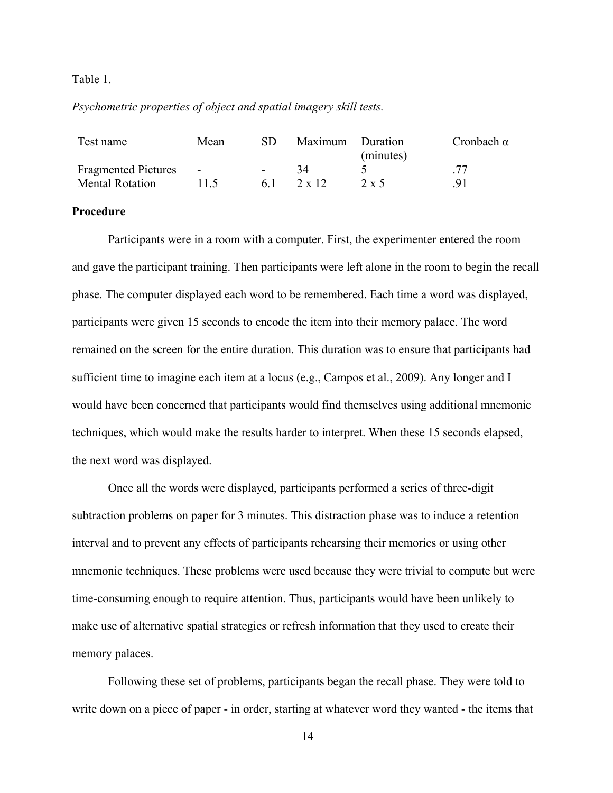#### Table 1.

#### *Psychometric properties of object and spatial imagery skill tests.*

| Test name                                            | Mean                     | SD | Maximum | Duration<br>(minutes) | Cronbach $\alpha$ |
|------------------------------------------------------|--------------------------|----|---------|-----------------------|-------------------|
| <b>Fragmented Pictures</b><br><b>Mental Rotation</b> | $\overline{\phantom{a}}$ |    | 7 v 17  | $2 \times 5$          |                   |

#### **Procedure**

Participants were in a room with a computer. First, the experimenter entered the room and gave the participant training. Then participants were left alone in the room to begin the recall phase. The computer displayed each word to be remembered. Each time a word was displayed, participants were given 15 seconds to encode the item into their memory palace. The word remained on the screen for the entire duration. This duration was to ensure that participants had sufficient time to imagine each item at a locus (e.g., Campos et al., 2009). Any longer and I would have been concerned that participants would find themselves using additional mnemonic techniques, which would make the results harder to interpret. When these 15 seconds elapsed, the next word was displayed.

Once all the words were displayed, participants performed a series of three-digit subtraction problems on paper for 3 minutes. This distraction phase was to induce a retention interval and to prevent any effects of participants rehearsing their memories or using other mnemonic techniques. These problems were used because they were trivial to compute but were time-consuming enough to require attention. Thus, participants would have been unlikely to make use of alternative spatial strategies or refresh information that they used to create their memory palaces.

Following these set of problems, participants began the recall phase. They were told to write down on a piece of paper - in order, starting at whatever word they wanted - the items that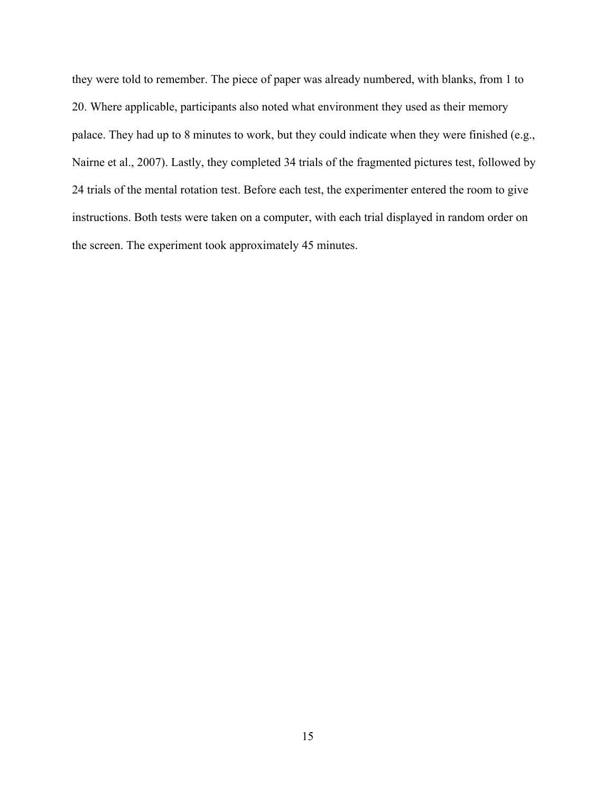they were told to remember. The piece of paper was already numbered, with blanks, from 1 to 20. Where applicable, participants also noted what environment they used as their memory palace. They had up to 8 minutes to work, but they could indicate when they were finished (e.g., Nairne et al., 2007). Lastly, they completed 34 trials of the fragmented pictures test, followed by 24 trials of the mental rotation test. Before each test, the experimenter entered the room to give instructions. Both tests were taken on a computer, with each trial displayed in random order on the screen. The experiment took approximately 45 minutes.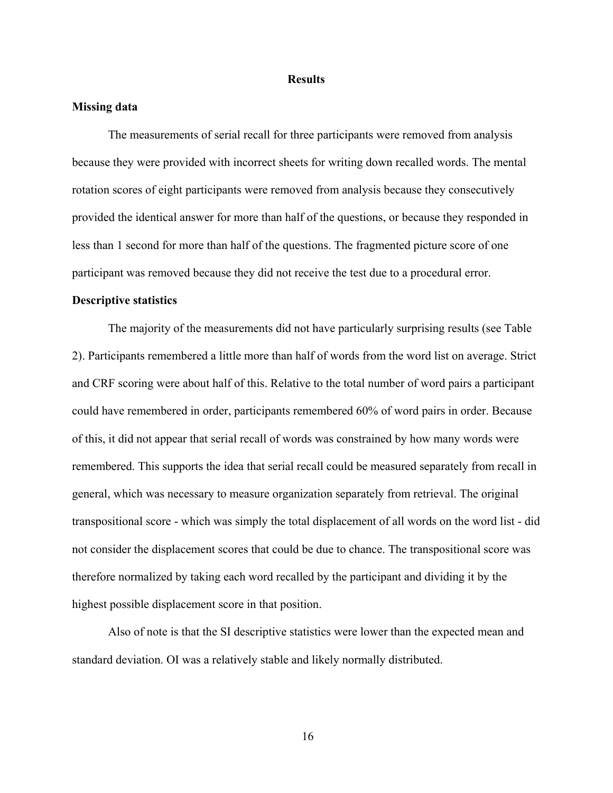#### **Results**

#### **Missing data**

The measurements of serial recall for three participants were removed from analysis because they were provided with incorrect sheets for writing down recalled words. The mental rotation scores of eight participants were removed from analysis because they consecutively provided the identical answer for more than half of the questions, or because they responded in less than 1 second for more than half of the questions. The fragmented picture score of one participant was removed because they did not receive the test due to a procedural error.

#### **Descriptive statistics**

The majority of the measurements did not have particularly surprising results (see Table 2). Participants remembered a little more than half of words from the word list on average. Strict and CRF scoring were about half of this. Relative to the total number of word pairs a participant could have remembered in order, participants remembered 60% of word pairs in order. Because of this, it did not appear that serial recall of words was constrained by how many words were remembered. This supports the idea that serial recall could be measured separately from recall in general, which was necessary to measure organization separately from retrieval. The original transpositional score - which was simply the total displacement of all words on the word list - did not consider the displacement scores that could be due to chance. The transpositional score was therefore normalized by taking each word recalled by the participant and dividing it by the highest possible displacement score in that position.

Also of note is that the SI descriptive statistics were lower than the expected mean and standard deviation. OI was a relatively stable and likely normally distributed.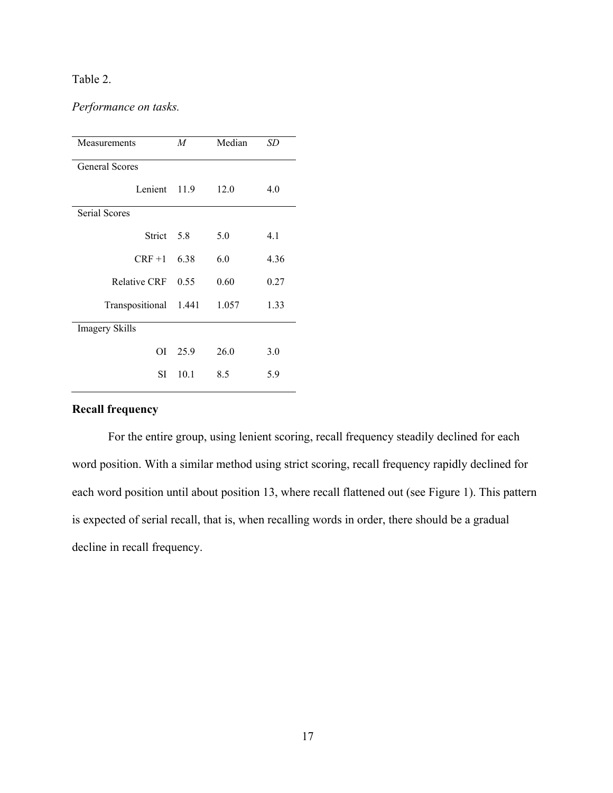# Table 2.

# *Performance on tasks.*

| Measurements          | M       | Median | SD   |
|-----------------------|---------|--------|------|
| <b>General Scores</b> |         |        |      |
| Lenient 11.9          |         | 12.0   | 4.0  |
| <b>Serial Scores</b>  |         |        |      |
| Strict 5.8            |         | 5.0    | 4.1  |
| $CRF + 1$             | 6.38    | 6.0    | 4.36 |
| <b>Relative CRF</b>   | 0.55    | 0.60   | 0.27 |
| Transpositional       | 1.441   | 1.057  | 1.33 |
| <b>Imagery Skills</b> |         |        |      |
|                       | OI 25.9 | 26.0   | 3.0  |
| SL                    | 10.1    | 8.5    | 5.9  |

# **Recall frequency**

For the entire group, using lenient scoring, recall frequency steadily declined for each word position. With a similar method using strict scoring, recall frequency rapidly declined for each word position until about position 13, where recall flattened out (see Figure 1). This pattern is expected of serial recall, that is, when recalling words in order, there should be a gradual decline in recall frequency.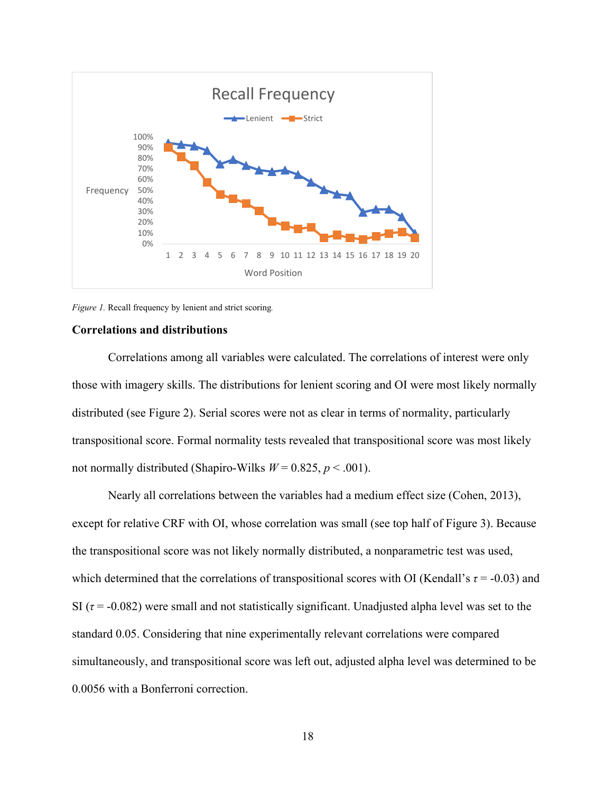

*Figure 1.* Recall frequency by lenient and strict scoring*.*

#### **Correlations and distributions**

Correlations among all variables were calculated. The correlations of interest were only those with imagery skills. The distributions for lenient scoring and OI were most likely normally distributed (see Figure 2). Serial scores were not as clear in terms of normality, particularly transpositional score. Formal normality tests revealed that transpositional score was most likely not normally distributed (Shapiro-Wilks  $W = 0.825$ ,  $p < .001$ ).

Nearly all correlations between the variables had a medium effect size (Cohen, 2013), except for relative CRF with OI, whose correlation was small (see top half of Figure 3). Because the transpositional score was not likely normally distributed, a nonparametric test was used, which determined that the correlations of transpositional scores with OI (Kendall's  $\tau$  = -0.03) and SI ( $\tau$  = -0.082) were small and not statistically significant. Unadjusted alpha level was set to the standard 0.05. Considering that nine experimentally relevant correlations were compared simultaneously, and transpositional score was left out, adjusted alpha level was determined to be 0.0056 with a Bonferroni correction.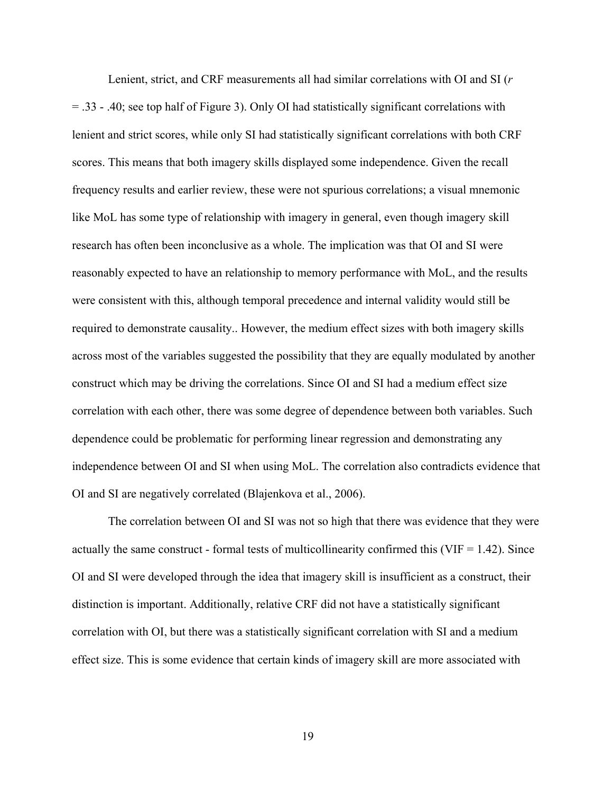Lenient, strict, and CRF measurements all had similar correlations with OI and SI (*r* = .33 - .40; see top half of Figure 3). Only OI had statistically significant correlations with lenient and strict scores, while only SI had statistically significant correlations with both CRF scores. This means that both imagery skills displayed some independence. Given the recall frequency results and earlier review, these were not spurious correlations; a visual mnemonic like MoL has some type of relationship with imagery in general, even though imagery skill research has often been inconclusive as a whole. The implication was that OI and SI were reasonably expected to have an relationship to memory performance with MoL, and the results were consistent with this, although temporal precedence and internal validity would still be required to demonstrate causality.. However, the medium effect sizes with both imagery skills across most of the variables suggested the possibility that they are equally modulated by another construct which may be driving the correlations. Since OI and SI had a medium effect size correlation with each other, there was some degree of dependence between both variables. Such dependence could be problematic for performing linear regression and demonstrating any independence between OI and SI when using MoL. The correlation also contradicts evidence that OI and SI are negatively correlated (Blajenkova et al., 2006).

The correlation between OI and SI was not so high that there was evidence that they were actually the same construct - formal tests of multicollinearity confirmed this (VIF  $= 1.42$ ). Since OI and SI were developed through the idea that imagery skill is insufficient as a construct, their distinction is important. Additionally, relative CRF did not have a statistically significant correlation with OI, but there was a statistically significant correlation with SI and a medium effect size. This is some evidence that certain kinds of imagery skill are more associated with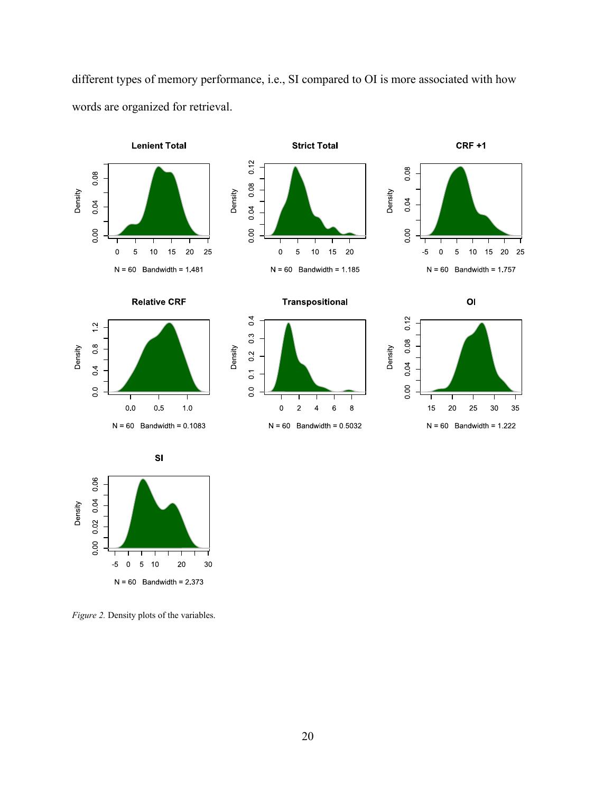

different types of memory performance, i.e., SI compared to OI is more associated with how words are organized for retrieval.

*Figure 2.* Density plots of the variables.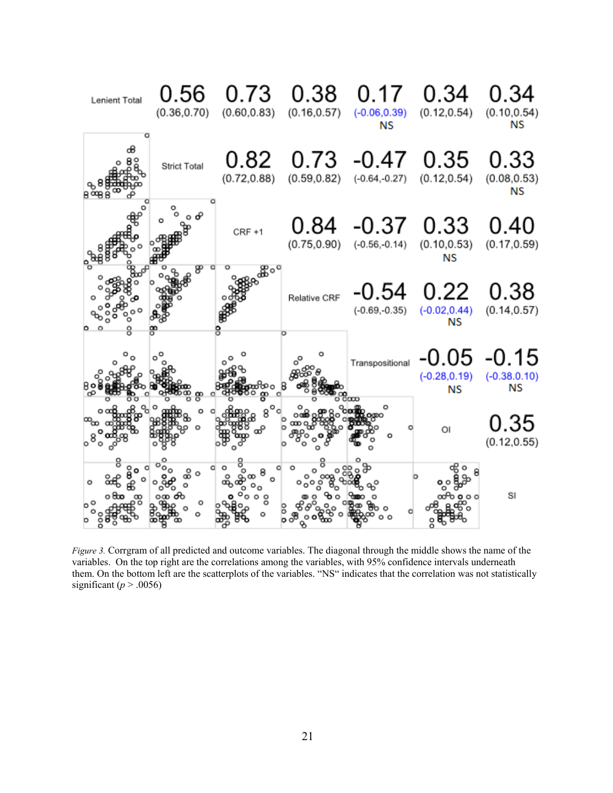

*Figure 3.* Corrgram of all predicted and outcome variables. The diagonal through the middle shows the name of the variables. On the top right are the correlations among the variables, with 95% confidence intervals underneath them. On the bottom left are the scatterplots of the variables. "NS" indicates that the correlation was not statistically significant ( $p > .0056$ )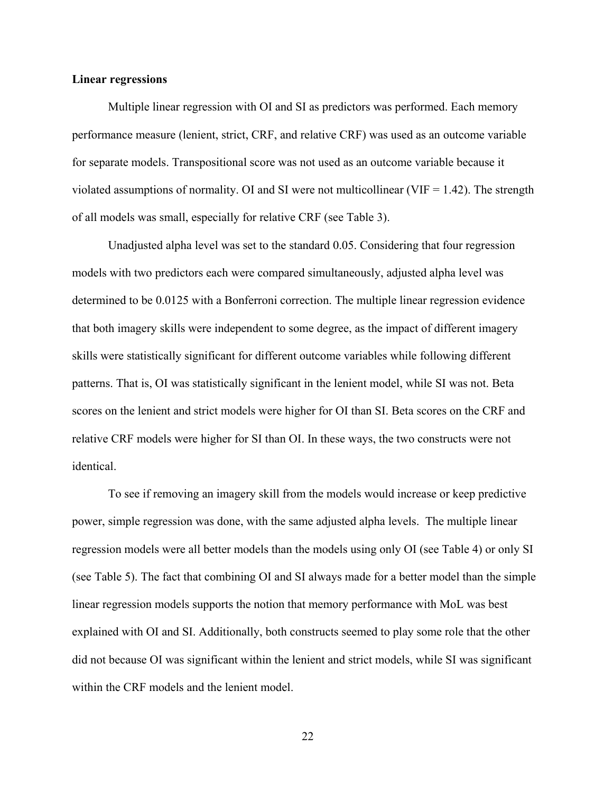#### **Linear regressions**

Multiple linear regression with OI and SI as predictors was performed. Each memory performance measure (lenient, strict, CRF, and relative CRF) was used as an outcome variable for separate models. Transpositional score was not used as an outcome variable because it violated assumptions of normality. OI and SI were not multicollinear (VIF  $= 1.42$ ). The strength of all models was small, especially for relative CRF (see Table 3).

Unadjusted alpha level was set to the standard 0.05. Considering that four regression models with two predictors each were compared simultaneously, adjusted alpha level was determined to be 0.0125 with a Bonferroni correction. The multiple linear regression evidence that both imagery skills were independent to some degree, as the impact of different imagery skills were statistically significant for different outcome variables while following different patterns. That is, OI was statistically significant in the lenient model, while SI was not. Beta scores on the lenient and strict models were higher for OI than SI. Beta scores on the CRF and relative CRF models were higher for SI than OI. In these ways, the two constructs were not identical.

To see if removing an imagery skill from the models would increase or keep predictive power, simple regression was done, with the same adjusted alpha levels. The multiple linear regression models were all better models than the models using only OI (see Table 4) or only SI (see Table 5). The fact that combining OI and SI always made for a better model than the simple linear regression models supports the notion that memory performance with MoL was best explained with OI and SI. Additionally, both constructs seemed to play some role that the other did not because OI was significant within the lenient and strict models, while SI was significant within the CRF models and the lenient model.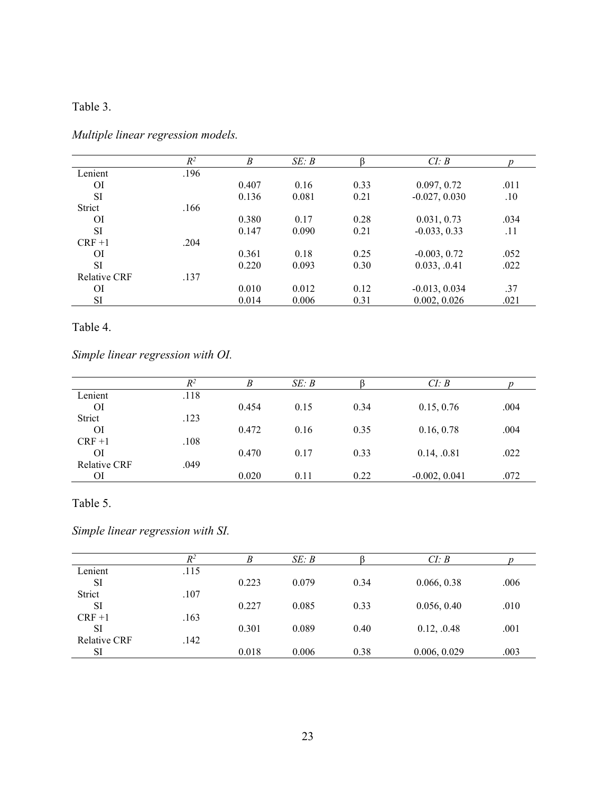# Table 3.

|                     | $R^2$ | B     | SE: B |      | CI: B           |      |
|---------------------|-------|-------|-------|------|-----------------|------|
| Lenient             | .196  |       |       |      |                 |      |
| <sup>OI</sup>       |       | 0.407 | 0.16  | 0.33 | 0.097, 0.72     | .011 |
| <b>SI</b>           |       | 0.136 | 0.081 | 0.21 | $-0.027, 0.030$ | .10  |
| Strict              | .166  |       |       |      |                 |      |
| ΟI                  |       | 0.380 | 0.17  | 0.28 | 0.031, 0.73     | .034 |
| <b>SI</b>           |       | 0.147 | 0.090 | 0.21 | $-0.033, 0.33$  | .11  |
| $CRF+1$             | .204  |       |       |      |                 |      |
| ΟI                  |       | 0.361 | 0.18  | 0.25 | $-0.003, 0.72$  | .052 |
| <b>SI</b>           |       | 0.220 | 0.093 | 0.30 | 0.033, .0.41    | .022 |
| <b>Relative CRF</b> | .137  |       |       |      |                 |      |
| ΟI                  |       | 0.010 | 0.012 | 0.12 | $-0.013, 0.034$ | .37  |
| SI                  |       | 0.014 | 0.006 | 0.31 | 0.002, 0.026    | .021 |

*Multiple linear regression models.*

# Table 4.

*Simple linear regression with OI.*

|                     | $R^2$ | B     | SE: B |      | CI: B           |      |
|---------------------|-------|-------|-------|------|-----------------|------|
| Lenient             | .118  |       |       |      |                 |      |
| ΟI                  |       | 0.454 | 0.15  | 0.34 | 0.15, 0.76      | .004 |
| Strict              | .123  |       |       |      |                 |      |
| <sup>OI</sup>       |       | 0.472 | 0.16  | 0.35 | 0.16, 0.78      | .004 |
| $CRF+1$             | .108  |       |       |      |                 |      |
| ΟI                  |       | 0.470 | 0.17  | 0.33 | 0.14, .0.81     | .022 |
| <b>Relative CRF</b> | .049  |       |       |      |                 |      |
| ΟI                  |       | 0.020 | 0.11  | 0.22 | $-0.002, 0.041$ | .072 |

# Table 5.

*Simple linear regression with SI.*

|                     | $R^2$ | B     | SE: B |      | CI: B        |      |
|---------------------|-------|-------|-------|------|--------------|------|
| Lenient             | .115  |       |       |      |              |      |
| SI                  |       | 0.223 | 0.079 | 0.34 | 0.066, 0.38  | .006 |
| Strict              | .107  |       |       |      |              |      |
| SI                  |       | 0.227 | 0.085 | 0.33 | 0.056, 0.40  | .010 |
| $CRF+1$             | .163  |       |       |      |              |      |
| SI                  |       | 0.301 | 0.089 | 0.40 | 0.12, .0.48  | .001 |
| <b>Relative CRF</b> | .142  |       |       |      |              |      |
| SI                  |       | 0.018 | 0.006 | 0.38 | 0.006, 0.029 | .003 |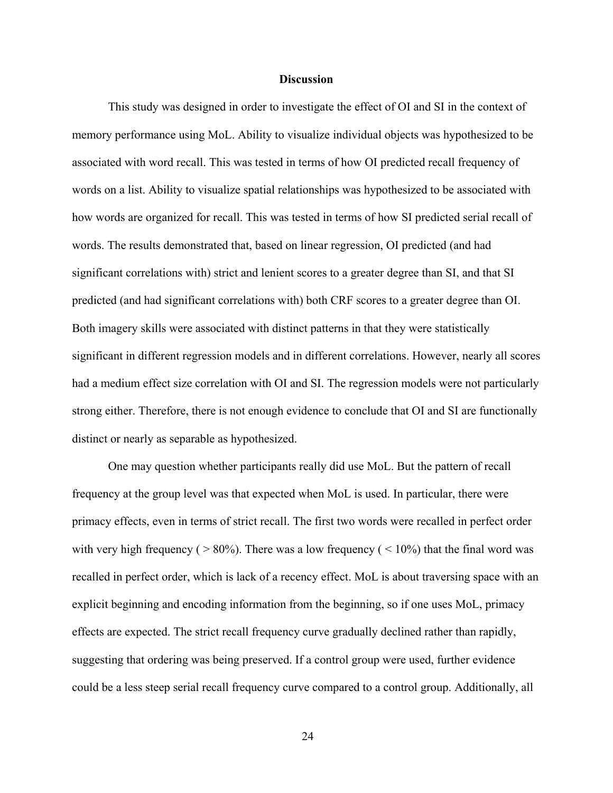#### **Discussion**

This study was designed in order to investigate the effect of OI and SI in the context of memory performance using MoL. Ability to visualize individual objects was hypothesized to be associated with word recall. This was tested in terms of how OI predicted recall frequency of words on a list. Ability to visualize spatial relationships was hypothesized to be associated with how words are organized for recall. This was tested in terms of how SI predicted serial recall of words. The results demonstrated that, based on linear regression, OI predicted (and had significant correlations with) strict and lenient scores to a greater degree than SI, and that SI predicted (and had significant correlations with) both CRF scores to a greater degree than OI. Both imagery skills were associated with distinct patterns in that they were statistically significant in different regression models and in different correlations. However, nearly all scores had a medium effect size correlation with OI and SI. The regression models were not particularly strong either. Therefore, there is not enough evidence to conclude that OI and SI are functionally distinct or nearly as separable as hypothesized.

One may question whether participants really did use MoL. But the pattern of recall frequency at the group level was that expected when MoL is used. In particular, there were primacy effects, even in terms of strict recall. The first two words were recalled in perfect order with very high frequency ( $> 80\%$ ). There was a low frequency ( $< 10\%$ ) that the final word was recalled in perfect order, which is lack of a recency effect. MoL is about traversing space with an explicit beginning and encoding information from the beginning, so if one uses MoL, primacy effects are expected. The strict recall frequency curve gradually declined rather than rapidly, suggesting that ordering was being preserved. If a control group were used, further evidence could be a less steep serial recall frequency curve compared to a control group. Additionally, all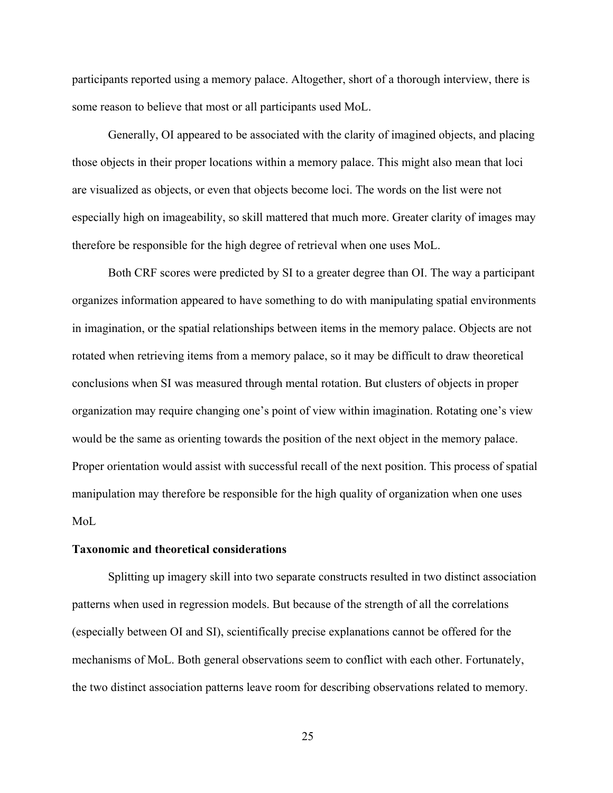participants reported using a memory palace. Altogether, short of a thorough interview, there is some reason to believe that most or all participants used MoL.

Generally, OI appeared to be associated with the clarity of imagined objects, and placing those objects in their proper locations within a memory palace. This might also mean that loci are visualized as objects, or even that objects become loci. The words on the list were not especially high on imageability, so skill mattered that much more. Greater clarity of images may therefore be responsible for the high degree of retrieval when one uses MoL.

Both CRF scores were predicted by SI to a greater degree than OI. The way a participant organizes information appeared to have something to do with manipulating spatial environments in imagination, or the spatial relationships between items in the memory palace. Objects are not rotated when retrieving items from a memory palace, so it may be difficult to draw theoretical conclusions when SI was measured through mental rotation. But clusters of objects in proper organization may require changing one's point of view within imagination. Rotating one's view would be the same as orienting towards the position of the next object in the memory palace. Proper orientation would assist with successful recall of the next position. This process of spatial manipulation may therefore be responsible for the high quality of organization when one uses MoL

#### **Taxonomic and theoretical considerations**

Splitting up imagery skill into two separate constructs resulted in two distinct association patterns when used in regression models. But because of the strength of all the correlations (especially between OI and SI), scientifically precise explanations cannot be offered for the mechanisms of MoL. Both general observations seem to conflict with each other. Fortunately, the two distinct association patterns leave room for describing observations related to memory.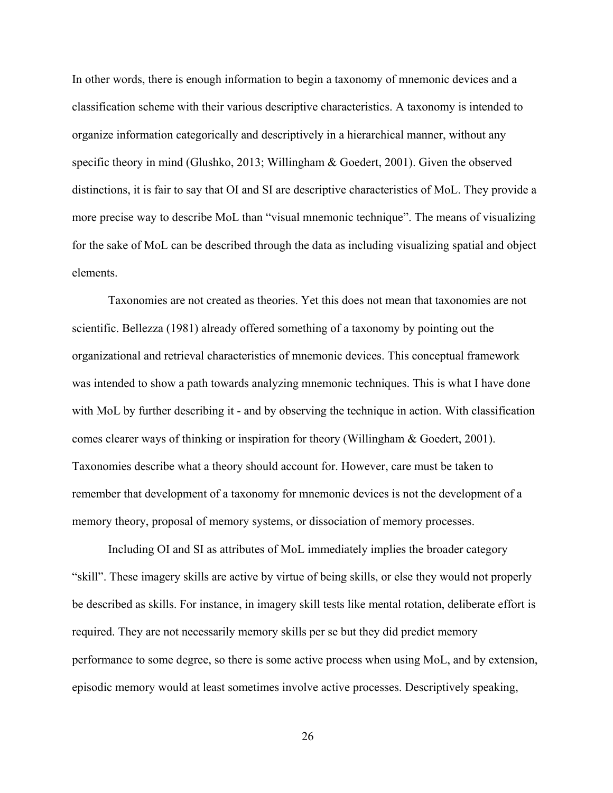In other words, there is enough information to begin a taxonomy of mnemonic devices and a classification scheme with their various descriptive characteristics. A taxonomy is intended to organize information categorically and descriptively in a hierarchical manner, without any specific theory in mind (Glushko, 2013; Willingham & Goedert, 2001). Given the observed distinctions, it is fair to say that OI and SI are descriptive characteristics of MoL. They provide a more precise way to describe MoL than "visual mnemonic technique". The means of visualizing for the sake of MoL can be described through the data as including visualizing spatial and object elements.

Taxonomies are not created as theories. Yet this does not mean that taxonomies are not scientific. Bellezza (1981) already offered something of a taxonomy by pointing out the organizational and retrieval characteristics of mnemonic devices. This conceptual framework was intended to show a path towards analyzing mnemonic techniques. This is what I have done with MoL by further describing it - and by observing the technique in action. With classification comes clearer ways of thinking or inspiration for theory (Willingham & Goedert, 2001). Taxonomies describe what a theory should account for. However, care must be taken to remember that development of a taxonomy for mnemonic devices is not the development of a memory theory, proposal of memory systems, or dissociation of memory processes.

Including OI and SI as attributes of MoL immediately implies the broader category "skill". These imagery skills are active by virtue of being skills, or else they would not properly be described as skills. For instance, in imagery skill tests like mental rotation, deliberate effort is required. They are not necessarily memory skills per se but they did predict memory performance to some degree, so there is some active process when using MoL, and by extension, episodic memory would at least sometimes involve active processes. Descriptively speaking,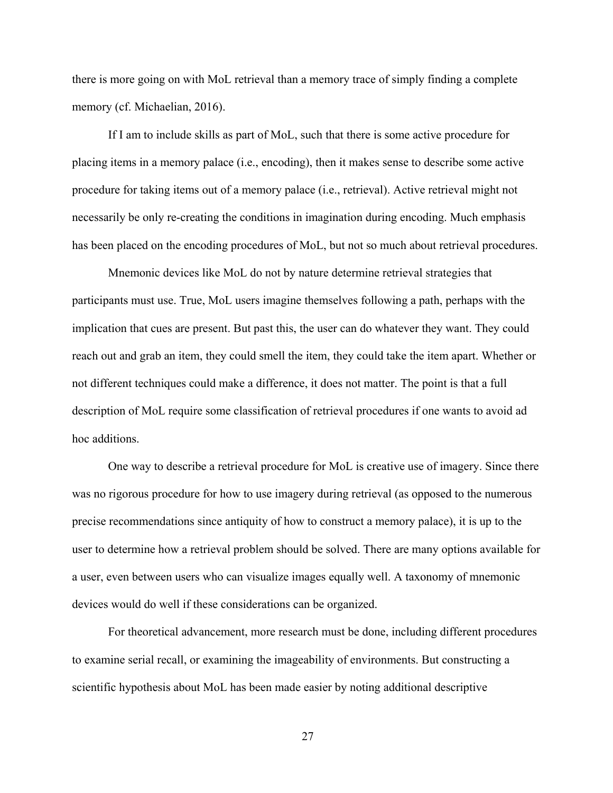there is more going on with MoL retrieval than a memory trace of simply finding a complete memory (cf. Michaelian, 2016).

If I am to include skills as part of MoL, such that there is some active procedure for placing items in a memory palace (i.e., encoding), then it makes sense to describe some active procedure for taking items out of a memory palace (i.e., retrieval). Active retrieval might not necessarily be only re-creating the conditions in imagination during encoding. Much emphasis has been placed on the encoding procedures of MoL, but not so much about retrieval procedures.

Mnemonic devices like MoL do not by nature determine retrieval strategies that participants must use. True, MoL users imagine themselves following a path, perhaps with the implication that cues are present. But past this, the user can do whatever they want. They could reach out and grab an item, they could smell the item, they could take the item apart. Whether or not different techniques could make a difference, it does not matter. The point is that a full description of MoL require some classification of retrieval procedures if one wants to avoid ad hoc additions.

One way to describe a retrieval procedure for MoL is creative use of imagery. Since there was no rigorous procedure for how to use imagery during retrieval (as opposed to the numerous precise recommendations since antiquity of how to construct a memory palace), it is up to the user to determine how a retrieval problem should be solved. There are many options available for a user, even between users who can visualize images equally well. A taxonomy of mnemonic devices would do well if these considerations can be organized.

For theoretical advancement, more research must be done, including different procedures to examine serial recall, or examining the imageability of environments. But constructing a scientific hypothesis about MoL has been made easier by noting additional descriptive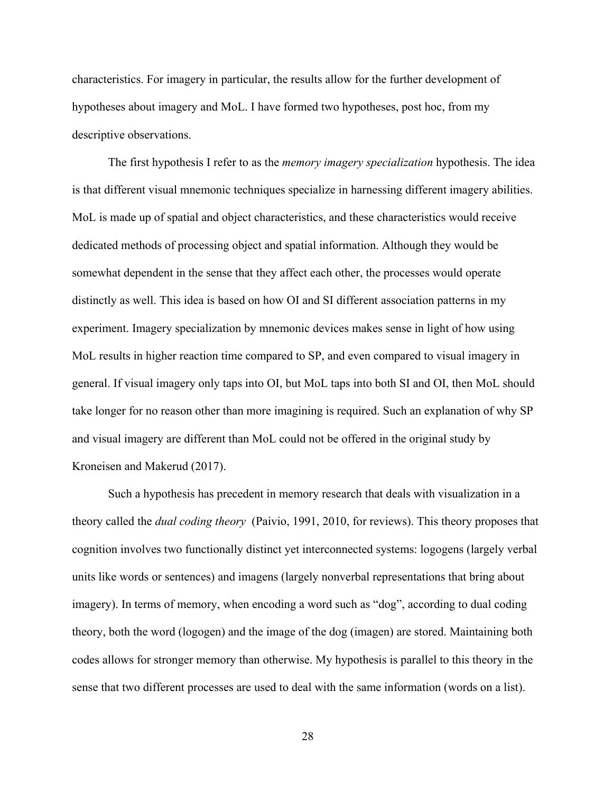characteristics. For imagery in particular, the results allow for the further development of hypotheses about imagery and MoL. I have formed two hypotheses, post hoc, from my descriptive observations.

The first hypothesis I refer to as the *memory imagery specialization* hypothesis. The idea is that different visual mnemonic techniques specialize in harnessing different imagery abilities. MoL is made up of spatial and object characteristics, and these characteristics would receive dedicated methods of processing object and spatial information. Although they would be somewhat dependent in the sense that they affect each other, the processes would operate distinctly as well. This idea is based on how OI and SI different association patterns in my experiment. Imagery specialization by mnemonic devices makes sense in light of how using MoL results in higher reaction time compared to SP, and even compared to visual imagery in general. If visual imagery only taps into OI, but MoL taps into both SI and OI, then MoL should take longer for no reason other than more imagining is required. Such an explanation of why SP and visual imagery are different than MoL could not be offered in the original study by Kroneisen and Makerud (2017).

Such a hypothesis has precedent in memory research that deals with visualization in a theory called the *dual coding theory* (Paivio, 1991, 2010, for reviews). This theory proposes that cognition involves two functionally distinct yet interconnected systems: logogens (largely verbal units like words or sentences) and imagens (largely nonverbal representations that bring about imagery). In terms of memory, when encoding a word such as "dog", according to dual coding theory, both the word (logogen) and the image of the dog (imagen) are stored. Maintaining both codes allows for stronger memory than otherwise. My hypothesis is parallel to this theory in the sense that two different processes are used to deal with the same information (words on a list).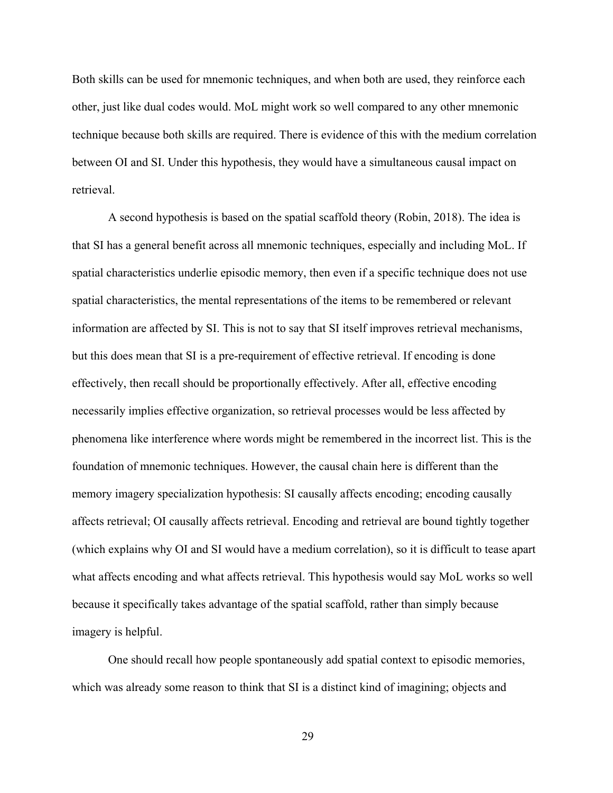Both skills can be used for mnemonic techniques, and when both are used, they reinforce each other, just like dual codes would. MoL might work so well compared to any other mnemonic technique because both skills are required. There is evidence of this with the medium correlation between OI and SI. Under this hypothesis, they would have a simultaneous causal impact on retrieval.

A second hypothesis is based on the spatial scaffold theory (Robin, 2018). The idea is that SI has a general benefit across all mnemonic techniques, especially and including MoL. If spatial characteristics underlie episodic memory, then even if a specific technique does not use spatial characteristics, the mental representations of the items to be remembered or relevant information are affected by SI. This is not to say that SI itself improves retrieval mechanisms, but this does mean that SI is a pre-requirement of effective retrieval. If encoding is done effectively, then recall should be proportionally effectively. After all, effective encoding necessarily implies effective organization, so retrieval processes would be less affected by phenomena like interference where words might be remembered in the incorrect list. This is the foundation of mnemonic techniques. However, the causal chain here is different than the memory imagery specialization hypothesis: SI causally affects encoding; encoding causally affects retrieval; OI causally affects retrieval. Encoding and retrieval are bound tightly together (which explains why OI and SI would have a medium correlation), so it is difficult to tease apart what affects encoding and what affects retrieval. This hypothesis would say MoL works so well because it specifically takes advantage of the spatial scaffold, rather than simply because imagery is helpful.

One should recall how people spontaneously add spatial context to episodic memories, which was already some reason to think that SI is a distinct kind of imagining; objects and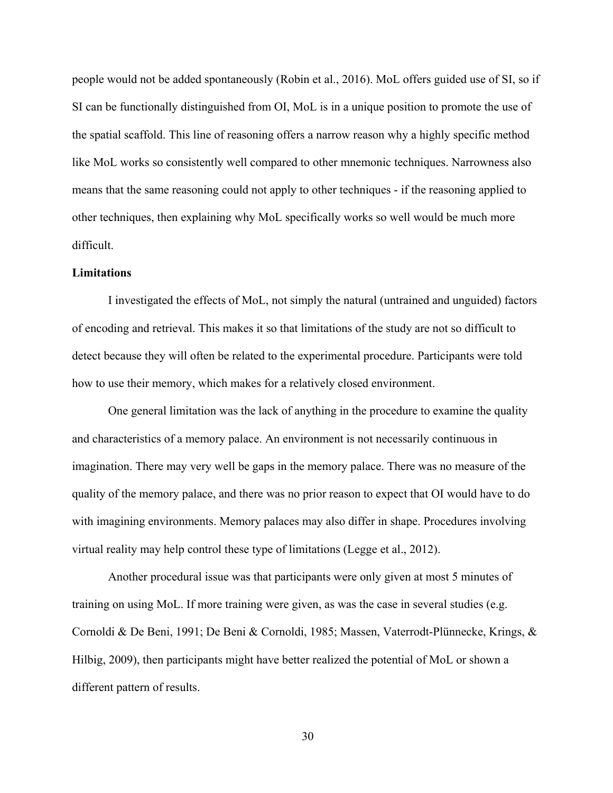people would not be added spontaneously (Robin et al., 2016). MoL offers guided use of SI, so if SI can be functionally distinguished from OI, MoL is in a unique position to promote the use of the spatial scaffold. This line of reasoning offers a narrow reason why a highly specific method like MoL works so consistently well compared to other mnemonic techniques. Narrowness also means that the same reasoning could not apply to other techniques - if the reasoning applied to other techniques, then explaining why MoL specifically works so well would be much more difficult.

#### **Limitations**

I investigated the effects of MoL, not simply the natural (untrained and unguided) factors of encoding and retrieval. This makes it so that limitations of the study are not so difficult to detect because they will often be related to the experimental procedure. Participants were told how to use their memory, which makes for a relatively closed environment.

One general limitation was the lack of anything in the procedure to examine the quality and characteristics of a memory palace. An environment is not necessarily continuous in imagination. There may very well be gaps in the memory palace. There was no measure of the quality of the memory palace, and there was no prior reason to expect that OI would have to do with imagining environments. Memory palaces may also differ in shape. Procedures involving virtual reality may help control these type of limitations (Legge et al., 2012).

Another procedural issue was that participants were only given at most 5 minutes of training on using MoL. If more training were given, as was the case in several studies (e.g. Cornoldi & De Beni, 1991; De Beni & Cornoldi, 1985; Massen, Vaterrodt-Plünnecke, Krings, & Hilbig, 2009), then participants might have better realized the potential of MoL or shown a different pattern of results.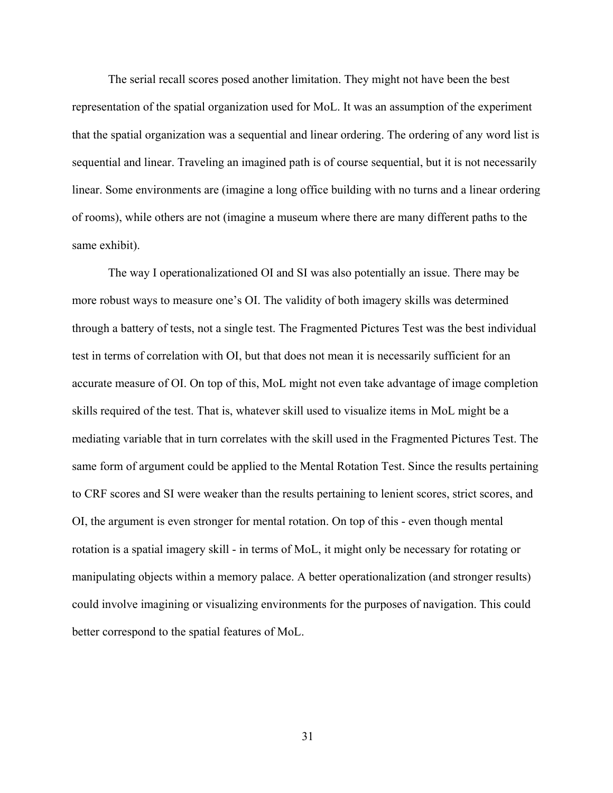The serial recall scores posed another limitation. They might not have been the best representation of the spatial organization used for MoL. It was an assumption of the experiment that the spatial organization was a sequential and linear ordering. The ordering of any word list is sequential and linear. Traveling an imagined path is of course sequential, but it is not necessarily linear. Some environments are (imagine a long office building with no turns and a linear ordering of rooms), while others are not (imagine a museum where there are many different paths to the same exhibit).

The way I operationalizationed OI and SI was also potentially an issue. There may be more robust ways to measure one's OI. The validity of both imagery skills was determined through a battery of tests, not a single test. The Fragmented Pictures Test was the best individual test in terms of correlation with OI, but that does not mean it is necessarily sufficient for an accurate measure of OI. On top of this, MoL might not even take advantage of image completion skills required of the test. That is, whatever skill used to visualize items in MoL might be a mediating variable that in turn correlates with the skill used in the Fragmented Pictures Test. The same form of argument could be applied to the Mental Rotation Test. Since the results pertaining to CRF scores and SI were weaker than the results pertaining to lenient scores, strict scores, and OI, the argument is even stronger for mental rotation. On top of this - even though mental rotation is a spatial imagery skill - in terms of MoL, it might only be necessary for rotating or manipulating objects within a memory palace. A better operationalization (and stronger results) could involve imagining or visualizing environments for the purposes of navigation. This could better correspond to the spatial features of MoL.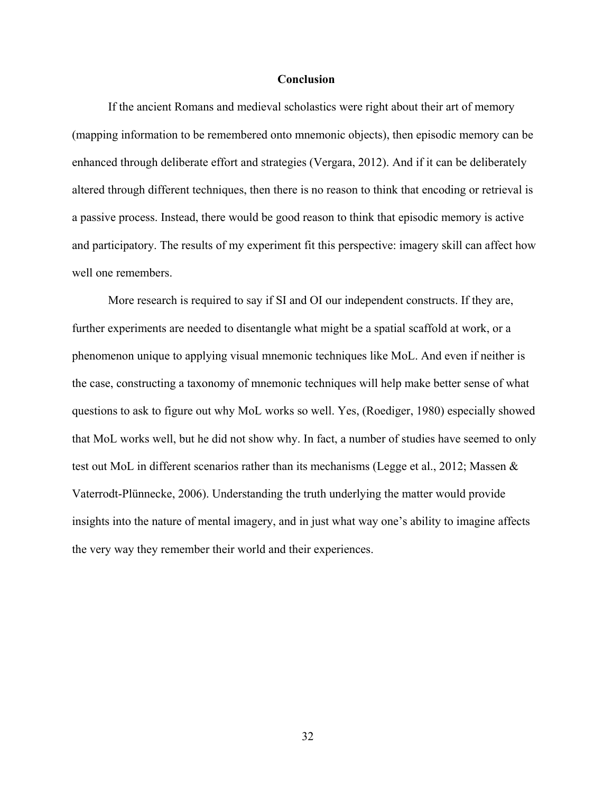#### **Conclusion**

If the ancient Romans and medieval scholastics were right about their art of memory (mapping information to be remembered onto mnemonic objects), then episodic memory can be enhanced through deliberate effort and strategies (Vergara, 2012). And if it can be deliberately altered through different techniques, then there is no reason to think that encoding or retrieval is a passive process. Instead, there would be good reason to think that episodic memory is active and participatory. The results of my experiment fit this perspective: imagery skill can affect how well one remembers.

More research is required to say if SI and OI our independent constructs. If they are, further experiments are needed to disentangle what might be a spatial scaffold at work, or a phenomenon unique to applying visual mnemonic techniques like MoL. And even if neither is the case, constructing a taxonomy of mnemonic techniques will help make better sense of what questions to ask to figure out why MoL works so well. Yes, (Roediger, 1980) especially showed that MoL works well, but he did not show why. In fact, a number of studies have seemed to only test out MoL in different scenarios rather than its mechanisms (Legge et al., 2012; Massen & Vaterrodt-Plünnecke, 2006). Understanding the truth underlying the matter would provide insights into the nature of mental imagery, and in just what way one's ability to imagine affects the very way they remember their world and their experiences.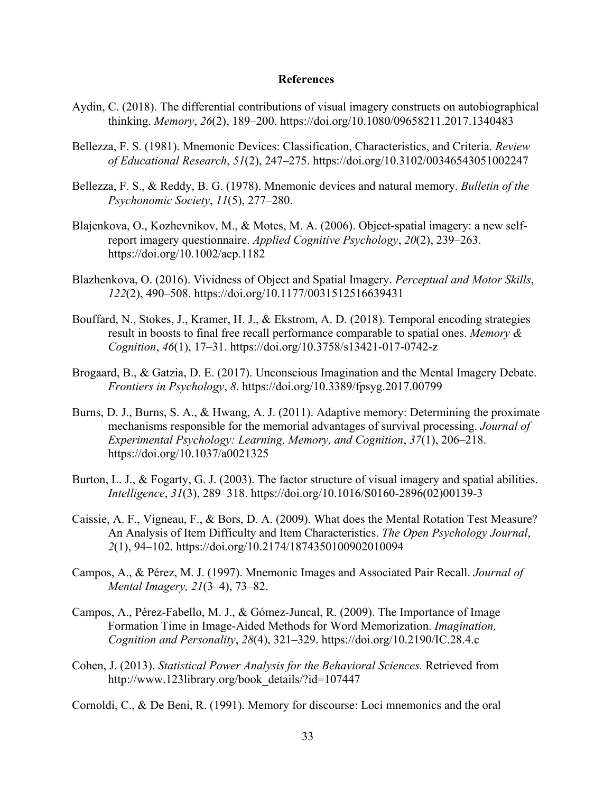#### **References**

- Aydin, C. (2018). The differential contributions of visual imagery constructs on autobiographical thinking. *Memory*, *26*(2), 189–200. https://doi.org/10.1080/09658211.2017.1340483
- Bellezza, F. S. (1981). Mnemonic Devices: Classification, Characteristics, and Criteria. *Review of Educational Research*, *51*(2), 247–275. https://doi.org/10.3102/00346543051002247
- Bellezza, F. S., & Reddy, B. G. (1978). Mnemonic devices and natural memory. *Bulletin of the Psychonomic Society*, *11*(5), 277–280.
- Blajenkova, O., Kozhevnikov, M., & Motes, M. A. (2006). Object-spatial imagery: a new selfreport imagery questionnaire. *Applied Cognitive Psychology*, *20*(2), 239–263. https://doi.org/10.1002/acp.1182
- Blazhenkova, O. (2016). Vividness of Object and Spatial Imagery. *Perceptual and Motor Skills*, *122*(2), 490–508. https://doi.org/10.1177/0031512516639431
- Bouffard, N., Stokes, J., Kramer, H. J., & Ekstrom, A. D. (2018). Temporal encoding strategies result in boosts to final free recall performance comparable to spatial ones. *Memory & Cognition*, *46*(1), 17–31. https://doi.org/10.3758/s13421-017-0742-z
- Brogaard, B., & Gatzia, D. E. (2017). Unconscious Imagination and the Mental Imagery Debate. *Frontiers in Psychology*, *8*. https://doi.org/10.3389/fpsyg.2017.00799
- Burns, D. J., Burns, S. A., & Hwang, A. J. (2011). Adaptive memory: Determining the proximate mechanisms responsible for the memorial advantages of survival processing. *Journal of Experimental Psychology: Learning, Memory, and Cognition*, *37*(1), 206–218. https://doi.org/10.1037/a0021325
- Burton, L. J., & Fogarty, G. J. (2003). The factor structure of visual imagery and spatial abilities. *Intelligence*, *31*(3), 289–318. https://doi.org/10.1016/S0160-2896(02)00139-3
- Caissie, A. F., Vigneau, F., & Bors, D. A. (2009). What does the Mental Rotation Test Measure? An Analysis of Item Difficulty and Item Characteristics. *The Open Psychology Journal*, *2*(1), 94–102. https://doi.org/10.2174/1874350100902010094
- Campos, A., & Pérez, M. J. (1997). Mnemonic Images and Associated Pair Recall. *Journal of Mental Imagery, 21*(3–4), 73–82.
- Campos, A., Pérez-Fabello, M. J., & Gómez-Juncal, R. (2009). The Importance of Image Formation Time in Image-Aided Methods for Word Memorization. *Imagination, Cognition and Personality*, *28*(4), 321–329. https://doi.org/10.2190/IC.28.4.c
- Cohen, J. (2013). *Statistical Power Analysis for the Behavioral Sciences.* Retrieved from http://www.123library.org/book\_details/?id=107447
- Cornoldi, C., & De Beni, R. (1991). Memory for discourse: Loci mnemonics and the oral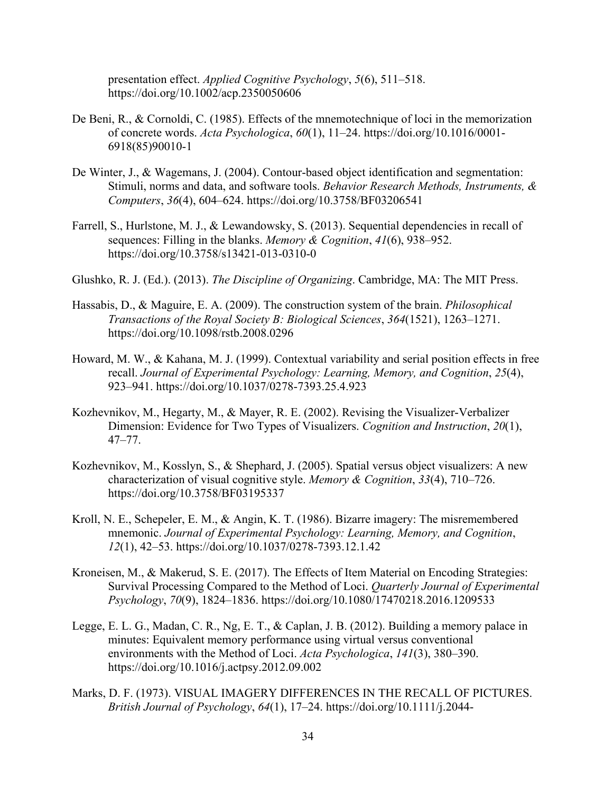presentation effect. *Applied Cognitive Psychology*, *5*(6), 511–518. https://doi.org/10.1002/acp.2350050606

- De Beni, R., & Cornoldi, C. (1985). Effects of the mnemotechnique of loci in the memorization of concrete words. *Acta Psychologica*, *60*(1), 11–24. https://doi.org/10.1016/0001- 6918(85)90010-1
- De Winter, J., & Wagemans, J. (2004). Contour-based object identification and segmentation: Stimuli, norms and data, and software tools. *Behavior Research Methods, Instruments, & Computers*, *36*(4), 604–624. https://doi.org/10.3758/BF03206541
- Farrell, S., Hurlstone, M. J., & Lewandowsky, S. (2013). Sequential dependencies in recall of sequences: Filling in the blanks. *Memory & Cognition*, *41*(6), 938–952. https://doi.org/10.3758/s13421-013-0310-0
- Glushko, R. J. (Ed.). (2013). *The Discipline of Organizing*. Cambridge, MA: The MIT Press.
- Hassabis, D., & Maguire, E. A. (2009). The construction system of the brain. *Philosophical Transactions of the Royal Society B: Biological Sciences*, *364*(1521), 1263–1271. https://doi.org/10.1098/rstb.2008.0296
- Howard, M. W., & Kahana, M. J. (1999). Contextual variability and serial position effects in free recall. *Journal of Experimental Psychology: Learning, Memory, and Cognition*, *25*(4), 923–941. https://doi.org/10.1037/0278-7393.25.4.923
- Kozhevnikov, M., Hegarty, M., & Mayer, R. E. (2002). Revising the Visualizer-Verbalizer Dimension: Evidence for Two Types of Visualizers. *Cognition and Instruction*, *20*(1), 47–77.
- Kozhevnikov, M., Kosslyn, S., & Shephard, J. (2005). Spatial versus object visualizers: A new characterization of visual cognitive style. *Memory & Cognition*, *33*(4), 710–726. https://doi.org/10.3758/BF03195337
- Kroll, N. E., Schepeler, E. M., & Angin, K. T. (1986). Bizarre imagery: The misremembered mnemonic. *Journal of Experimental Psychology: Learning, Memory, and Cognition*, *12*(1), 42–53. https://doi.org/10.1037/0278-7393.12.1.42
- Kroneisen, M., & Makerud, S. E. (2017). The Effects of Item Material on Encoding Strategies: Survival Processing Compared to the Method of Loci. *Quarterly Journal of Experimental Psychology*, *70*(9), 1824–1836. https://doi.org/10.1080/17470218.2016.1209533
- Legge, E. L. G., Madan, C. R., Ng, E. T., & Caplan, J. B. (2012). Building a memory palace in minutes: Equivalent memory performance using virtual versus conventional environments with the Method of Loci. *Acta Psychologica*, *141*(3), 380–390. https://doi.org/10.1016/j.actpsy.2012.09.002
- Marks, D. F. (1973). VISUAL IMAGERY DIFFERENCES IN THE RECALL OF PICTURES. *British Journal of Psychology*, *64*(1), 17–24. https://doi.org/10.1111/j.2044-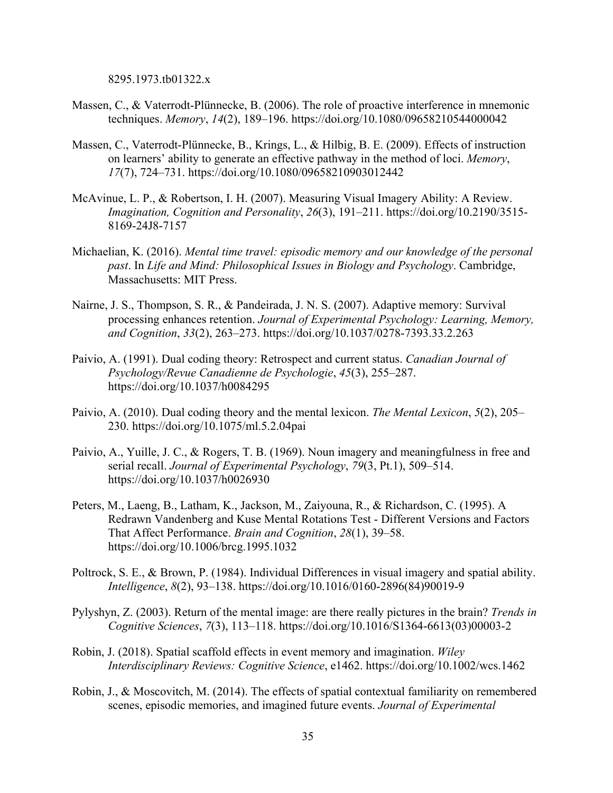8295.1973.tb01322.x

- Massen, C., & Vaterrodt-Plünnecke, B. (2006). The role of proactive interference in mnemonic techniques. *Memory*, *14*(2), 189–196. https://doi.org/10.1080/09658210544000042
- Massen, C., Vaterrodt-Plünnecke, B., Krings, L., & Hilbig, B. E. (2009). Effects of instruction on learners' ability to generate an effective pathway in the method of loci. *Memory*, *17*(7), 724–731. https://doi.org/10.1080/09658210903012442
- McAvinue, L. P., & Robertson, I. H. (2007). Measuring Visual Imagery Ability: A Review. *Imagination, Cognition and Personality*, *26*(3), 191–211. https://doi.org/10.2190/3515- 8169-24J8-7157
- Michaelian, K. (2016). *Mental time travel: episodic memory and our knowledge of the personal past*. In *Life and Mind: Philosophical Issues in Biology and Psychology*. Cambridge, Massachusetts: MIT Press.
- Nairne, J. S., Thompson, S. R., & Pandeirada, J. N. S. (2007). Adaptive memory: Survival processing enhances retention. *Journal of Experimental Psychology: Learning, Memory, and Cognition*, *33*(2), 263–273. https://doi.org/10.1037/0278-7393.33.2.263
- Paivio, A. (1991). Dual coding theory: Retrospect and current status. *Canadian Journal of Psychology/Revue Canadienne de Psychologie*, *45*(3), 255–287. https://doi.org/10.1037/h0084295
- Paivio, A. (2010). Dual coding theory and the mental lexicon. *The Mental Lexicon*, *5*(2), 205– 230. https://doi.org/10.1075/ml.5.2.04pai
- Paivio, A., Yuille, J. C., & Rogers, T. B. (1969). Noun imagery and meaningfulness in free and serial recall. *Journal of Experimental Psychology*, *79*(3, Pt.1), 509–514. https://doi.org/10.1037/h0026930
- Peters, M., Laeng, B., Latham, K., Jackson, M., Zaiyouna, R., & Richardson, C. (1995). A Redrawn Vandenberg and Kuse Mental Rotations Test - Different Versions and Factors That Affect Performance. *Brain and Cognition*, *28*(1), 39–58. https://doi.org/10.1006/brcg.1995.1032
- Poltrock, S. E., & Brown, P. (1984). Individual Differences in visual imagery and spatial ability. *Intelligence*, *8*(2), 93–138. https://doi.org/10.1016/0160-2896(84)90019-9
- Pylyshyn, Z. (2003). Return of the mental image: are there really pictures in the brain? *Trends in Cognitive Sciences*, *7*(3), 113–118. https://doi.org/10.1016/S1364-6613(03)00003-2
- Robin, J. (2018). Spatial scaffold effects in event memory and imagination. *Wiley Interdisciplinary Reviews: Cognitive Science*, e1462. https://doi.org/10.1002/wcs.1462
- Robin, J., & Moscovitch, M. (2014). The effects of spatial contextual familiarity on remembered scenes, episodic memories, and imagined future events. *Journal of Experimental*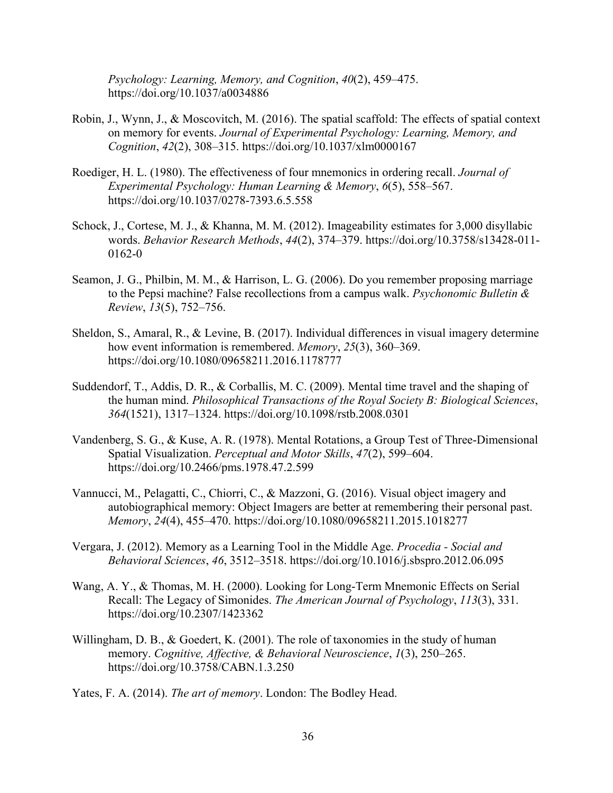*Psychology: Learning, Memory, and Cognition*, *40*(2), 459–475. https://doi.org/10.1037/a0034886

- Robin, J., Wynn, J., & Moscovitch, M. (2016). The spatial scaffold: The effects of spatial context on memory for events. *Journal of Experimental Psychology: Learning, Memory, and Cognition*, *42*(2), 308–315. https://doi.org/10.1037/xlm0000167
- Roediger, H. L. (1980). The effectiveness of four mnemonics in ordering recall. *Journal of Experimental Psychology: Human Learning & Memory*, *6*(5), 558–567. https://doi.org/10.1037/0278-7393.6.5.558
- Schock, J., Cortese, M. J., & Khanna, M. M. (2012). Imageability estimates for 3,000 disyllabic words. *Behavior Research Methods*, *44*(2), 374–379. https://doi.org/10.3758/s13428-011- 0162-0
- Seamon, J. G., Philbin, M. M., & Harrison, L. G. (2006). Do you remember proposing marriage to the Pepsi machine? False recollections from a campus walk. *Psychonomic Bulletin & Review*, *13*(5), 752–756.
- Sheldon, S., Amaral, R., & Levine, B. (2017). Individual differences in visual imagery determine how event information is remembered. *Memory*, *25*(3), 360–369. https://doi.org/10.1080/09658211.2016.1178777
- Suddendorf, T., Addis, D. R., & Corballis, M. C. (2009). Mental time travel and the shaping of the human mind. *Philosophical Transactions of the Royal Society B: Biological Sciences*, *364*(1521), 1317–1324. https://doi.org/10.1098/rstb.2008.0301
- Vandenberg, S. G., & Kuse, A. R. (1978). Mental Rotations, a Group Test of Three-Dimensional Spatial Visualization. *Perceptual and Motor Skills*, *47*(2), 599–604. https://doi.org/10.2466/pms.1978.47.2.599
- Vannucci, M., Pelagatti, C., Chiorri, C., & Mazzoni, G. (2016). Visual object imagery and autobiographical memory: Object Imagers are better at remembering their personal past. *Memory*, *24*(4), 455–470. https://doi.org/10.1080/09658211.2015.1018277
- Vergara, J. (2012). Memory as a Learning Tool in the Middle Age. *Procedia - Social and Behavioral Sciences*, *46*, 3512–3518. https://doi.org/10.1016/j.sbspro.2012.06.095
- Wang, A. Y., & Thomas, M. H. (2000). Looking for Long-Term Mnemonic Effects on Serial Recall: The Legacy of Simonides. *The American Journal of Psychology*, *113*(3), 331. https://doi.org/10.2307/1423362
- Willingham, D. B., & Goedert, K. (2001). The role of taxonomies in the study of human memory. *Cognitive, Affective, & Behavioral Neuroscience*, *1*(3), 250–265. https://doi.org/10.3758/CABN.1.3.250

Yates, F. A. (2014). *The art of memory*. London: The Bodley Head.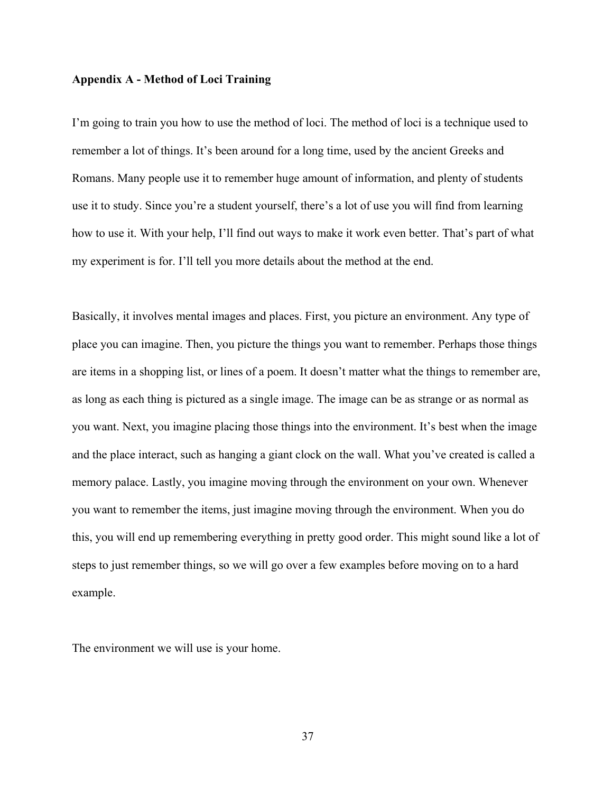#### **Appendix A - Method of Loci Training**

I'm going to train you how to use the method of loci. The method of loci is a technique used to remember a lot of things. It's been around for a long time, used by the ancient Greeks and Romans. Many people use it to remember huge amount of information, and plenty of students use it to study. Since you're a student yourself, there's a lot of use you will find from learning how to use it. With your help, I'll find out ways to make it work even better. That's part of what my experiment is for. I'll tell you more details about the method at the end.

Basically, it involves mental images and places. First, you picture an environment. Any type of place you can imagine. Then, you picture the things you want to remember. Perhaps those things are items in a shopping list, or lines of a poem. It doesn't matter what the things to remember are, as long as each thing is pictured as a single image. The image can be as strange or as normal as you want. Next, you imagine placing those things into the environment. It's best when the image and the place interact, such as hanging a giant clock on the wall. What you've created is called a memory palace. Lastly, you imagine moving through the environment on your own. Whenever you want to remember the items, just imagine moving through the environment. When you do this, you will end up remembering everything in pretty good order. This might sound like a lot of steps to just remember things, so we will go over a few examples before moving on to a hard example.

The environment we will use is your home.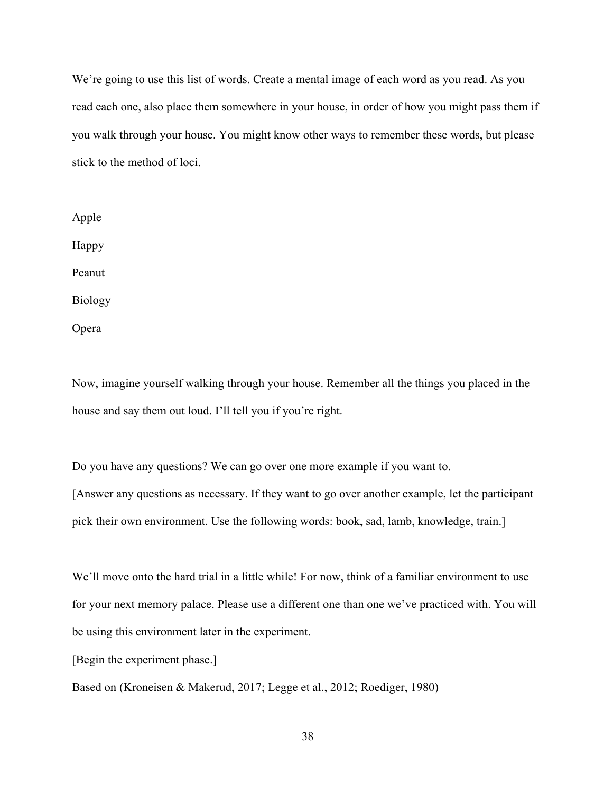We're going to use this list of words. Create a mental image of each word as you read. As you read each one, also place them somewhere in your house, in order of how you might pass them if you walk through your house. You might know other ways to remember these words, but please stick to the method of loci.

Apple Happy Peanut Biology Opera

Now, imagine yourself walking through your house. Remember all the things you placed in the house and say them out loud. I'll tell you if you're right.

Do you have any questions? We can go over one more example if you want to. [Answer any questions as necessary. If they want to go over another example, let the participant pick their own environment. Use the following words: book, sad, lamb, knowledge, train.]

We'll move onto the hard trial in a little while! For now, think of a familiar environment to use for your next memory palace. Please use a different one than one we've practiced with. You will be using this environment later in the experiment.

[Begin the experiment phase.]

Based on (Kroneisen & Makerud, 2017; Legge et al., 2012; Roediger, 1980)